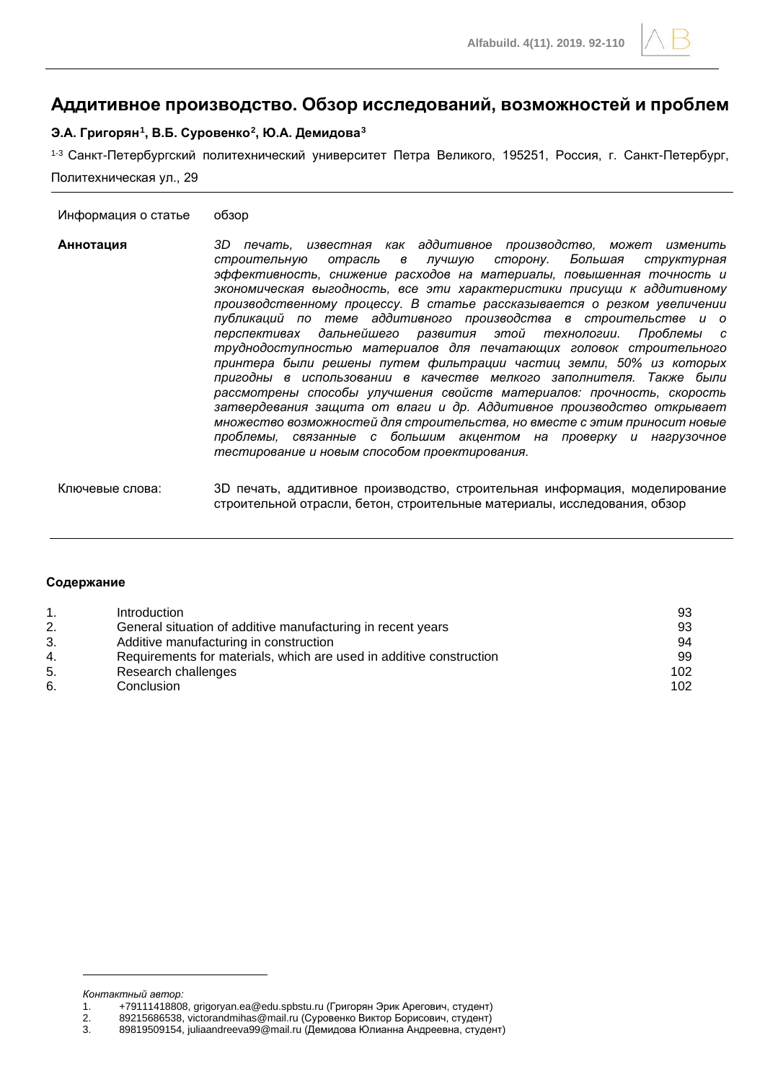# **Аддитивное производство. Обзор исследований, возможностей и проблем**

#### **Э.А. Григорян[1,](#page-0-0) В.Б. Суровенко[2,](#page-0-1) Ю.А. Демидова[3](#page-0-2)**

1-3 Санкт-Петербургский политехнический университет Петра Великого, 195251, Россия, г. Санкт-Петербург, Политехническая ул., 29

#### Информация о статье обзор

- **Аннотация** *3D печать, известная как аддитивное производство, может изменить строительную отрасль в лучшую сторону. Большая структурная эффективность, снижение расходов на материалы, повышенная точность и экономическая выгодность, все эти характеристики присущи к аддитивному производственному процессу. В статье рассказывается о резком увеличении публикаций по теме аддитивного производства в строительстве и о перспективах дальнейшего развития этой технологии. Проблемы с труднодоступностью материалов для печатающих головок строительного принтера были решены путем фильтрации частиц земли, 50% из которых пригодны в использовании в качестве мелкого заполнителя. Также были рассмотрены способы улучшения свойств материалов: прочность, скорость затвердевания защита от влаги и др. Аддитивное производство открывает множество возможностей для строительства, но вместе с этим приносит новые проблемы, связанные с большим акцентом на проверку и нагрузочное тестирование и новым способом проектирования.*
- Ключевые слова: 3D печать, аддитивное производство, строительная информация, моделирование строительной отрасли, бетон, строительные материалы, исследования, обзор

#### **Содержание**

| Introduction                                                        | 93  |
|---------------------------------------------------------------------|-----|
| General situation of additive manufacturing in recent years         | 93  |
| Additive manufacturing in construction                              | 94  |
| Requirements for materials, which are used in additive construction | 99  |
| Research challenges                                                 | 102 |
| Conclusion                                                          | 102 |
|                                                                     |     |

<span id="page-0-0"></span>*Контактный автор:*

<sup>1. +79111418808,</sup> grigoryan.ea@edu.spbstu.ru (Григорян Эрик Арегович, студент)<br>2. 89215686538, victorandmihas@mail.ru (Суровенко Виктор Борисович, студент)

<span id="page-0-2"></span><span id="page-0-1"></span><sup>2.</sup> 89215686538, victorandmihas@mail.ru (Суровенко Виктор Борисович, студент)

<sup>3.</sup> 89819509154, juliaandreeva99@mail.ru (Демидова Юлианна Андреевна, студент)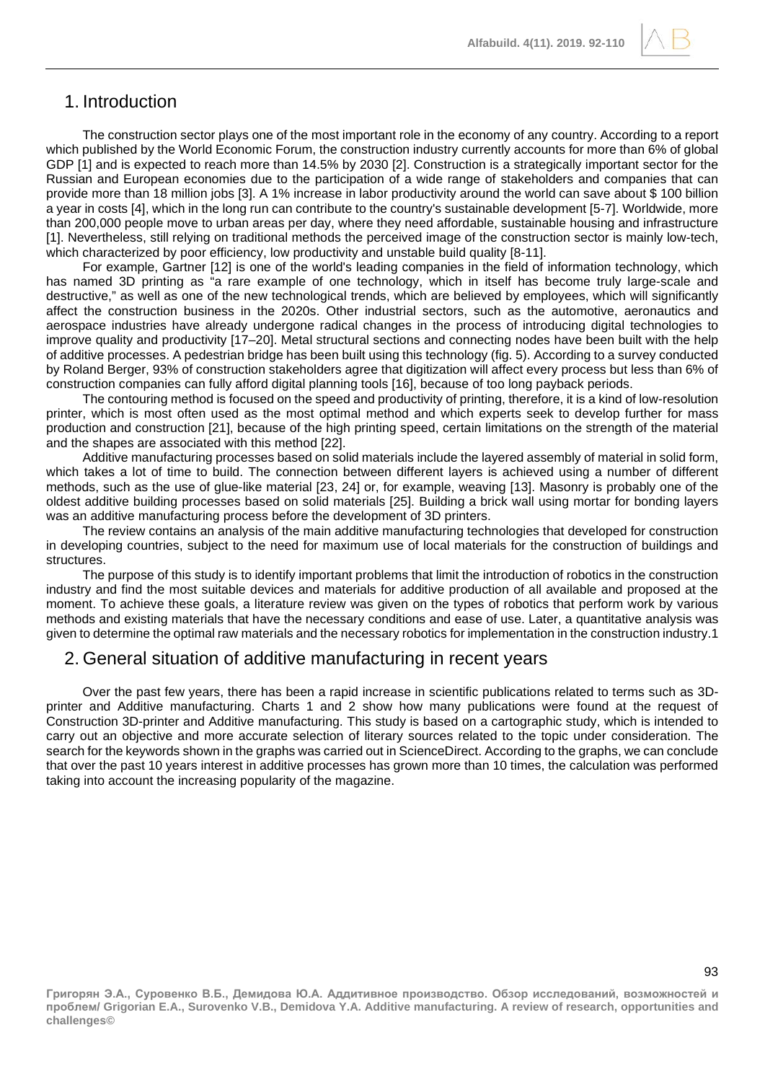

The construction sector plays one of the most important role in the economy of any country. According to a report which published by the World Economic Forum, the construction industry currently accounts for more than 6% of global GDP [1] and is expected to reach more than 14.5% by 2030 [2]. Construction is a strategically important sector for the Russian and European economies due to the participation of a wide range of stakeholders and companies that can provide more than 18 million jobs [3]. A 1% increase in labor productivity around the world can save about \$ 100 billion a year in costs [4], which in the long run can contribute to the country's sustainable development [5-7]. Worldwide, more than 200,000 people move to urban areas per day, where they need affordable, sustainable housing and infrastructure [1]. Nevertheless, still relying on traditional methods the perceived image of the construction sector is mainly low-tech, which characterized by poor efficiency, low productivity and unstable build quality [8-11].

For example, Gartner [12] is one of the world's leading companies in the field of information technology, which has named 3D printing as "a rare example of one technology, which in itself has become truly large-scale and destructive," as well as one of the new technological trends, which are believed by employees, which will significantly affect the construction business in the 2020s. Other industrial sectors, such as the automotive, aeronautics and aerospace industries have already undergone radical changes in the process of introducing digital technologies to improve quality and productivity [17–20]. Metal structural sections and connecting nodes have been built with the help of additive processes. A pedestrian bridge has been built using this technology (fig. 5). According to a survey conducted by Roland Berger, 93% of construction stakeholders agree that digitization will affect every process but less than 6% of construction companies can fully afford digital planning tools [16], because of too long payback periods.

The contouring method is focused on the speed and productivity of printing, therefore, it is a kind of low-resolution printer, which is most often used as the most optimal method and which experts seek to develop further for mass production and construction [21], because of the high printing speed, certain limitations on the strength of the material and the shapes are associated with this method [22].

Additive manufacturing processes based on solid materials include the layered assembly of material in solid form, which takes a lot of time to build. The connection between different layers is achieved using a number of different methods, such as the use of glue-like material [23, 24] or, for example, weaving [13]. Masonry is probably one of the oldest additive building processes based on solid materials [25]. Building a brick wall using mortar for bonding layers was an additive manufacturing process before the development of 3D printers.

The review contains an analysis of the main additive manufacturing technologies that developed for construction in developing countries, subject to the need for maximum use of local materials for the construction of buildings and structures.

The purpose of this study is to identify important problems that limit the introduction of robotics in the construction industry and find the most suitable devices and materials for additive production of all available and proposed at the moment. To achieve these goals, a literature review was given on the types of robotics that perform work by various methods and existing materials that have the necessary conditions and ease of use. Later, a quantitative analysis was given to determine the optimal raw materials and the necessary robotics for implementation in the construction industry.1

## 2. General situation of additive manufacturing in recent years

Over the past few years, there has been a rapid increase in scientific publications related to terms such as 3Dprinter and Additive manufacturing. Charts 1 and 2 show how many publications were found at the request of Construction 3D-printer and Additive manufacturing. This study is based on a cartographic study, which is intended to carry out an objective and more accurate selection of literary sources related to the topic under consideration. The search for the keywords shown in the graphs was carried out in ScienceDirect. According to the graphs, we can conclude that over the past 10 years interest in additive processes has grown more than 10 times, the calculation was performed taking into account the increasing popularity of the magazine.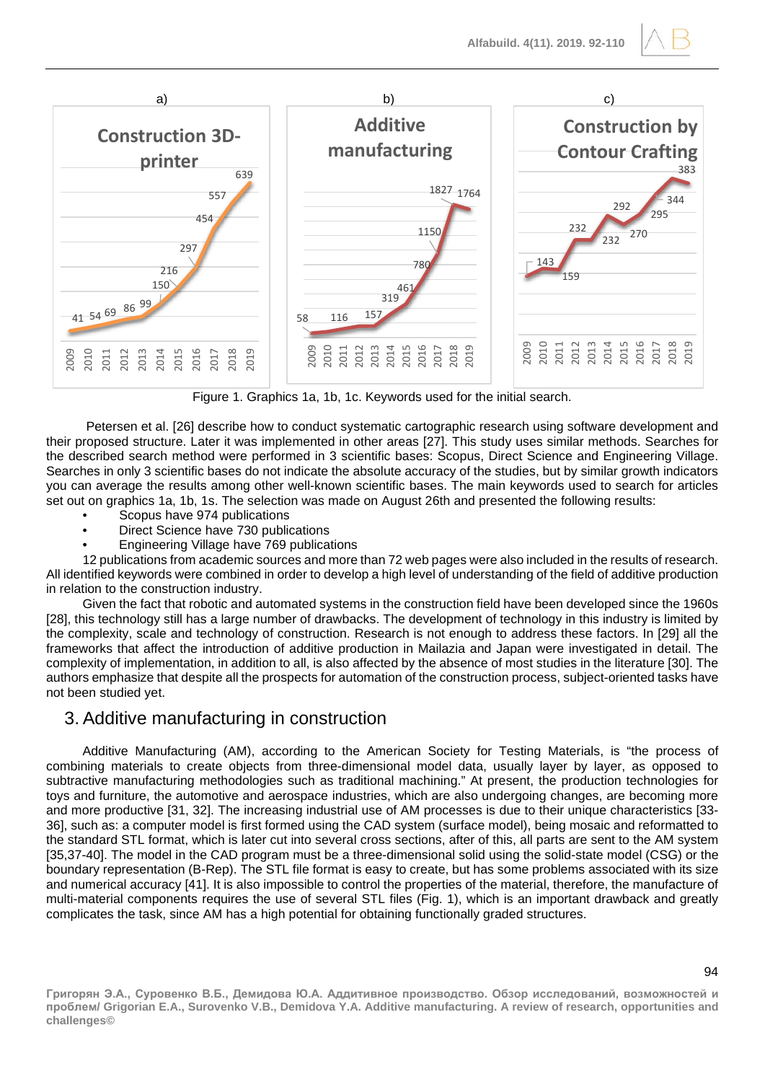

Figure 1. Graphics 1a, 1b, 1c. Keywords used for the initial search.

Petersen et al. [26] describe how to conduct systematic cartographic research using software development and their proposed structure. Later it was implemented in other areas [27]. This study uses similar methods. Searches for the described search method were performed in 3 scientific bases: Scopus, Direct Science and Engineering Village. Searches in only 3 scientific bases do not indicate the absolute accuracy of the studies, but by similar growth indicators you can average the results among other well-known scientific bases. The main keywords used to search for articles set out on graphics 1a, 1b, 1s. The selection was made on August 26th and presented the following results:

- Scopus have 974 publications
- Direct Science have 730 publications
- Engineering Village have 769 publications

12 publications from academic sources and more than 72 web pages were also included in the results of research. All identified keywords were combined in order to develop a high level of understanding of the field of additive production in relation to the construction industry.

Given the fact that robotic and automated systems in the construction field have been developed since the 1960s [28], this technology still has a large number of drawbacks. The development of technology in this industry is limited by the complexity, scale and technology of construction. Research is not enough to address these factors. In [29] all the frameworks that affect the introduction of additive production in Mailazia and Japan were investigated in detail. The complexity of implementation, in addition to all, is also affected by the absence of most studies in the literature [30]. The authors emphasize that despite all the prospects for automation of the construction process, subject-oriented tasks have not been studied yet.

## 3. Additive manufacturing in construction

Additive Manufacturing (AM), according to the American Society for Testing Materials, is "the process of combining materials to create objects from three-dimensional model data, usually layer by layer, as opposed to subtractive manufacturing methodologies such as traditional machining." At present, the production technologies for toys and furniture, the automotive and aerospace industries, which are also undergoing changes, are becoming more and more productive [31, 32]. The increasing industrial use of AM processes is due to their unique characteristics [33- 36], such as: a computer model is first formed using the CAD system (surface model), being mosaic and reformatted to the standard STL format, which is later cut into several cross sections, after of this, all parts are sent to the AM system [35,37-40]. The model in the CAD program must be a three-dimensional solid using the solid-state model (CSG) or the boundary representation (B-Rep). The STL file format is easy to create, but has some problems associated with its size and numerical accuracy [41]. It is also impossible to control the properties of the material, therefore, the manufacture of multi-material components requires the use of several STL files (Fig. 1), which is an important drawback and greatly complicates the task, since AM has a high potential for obtaining functionally graded structures.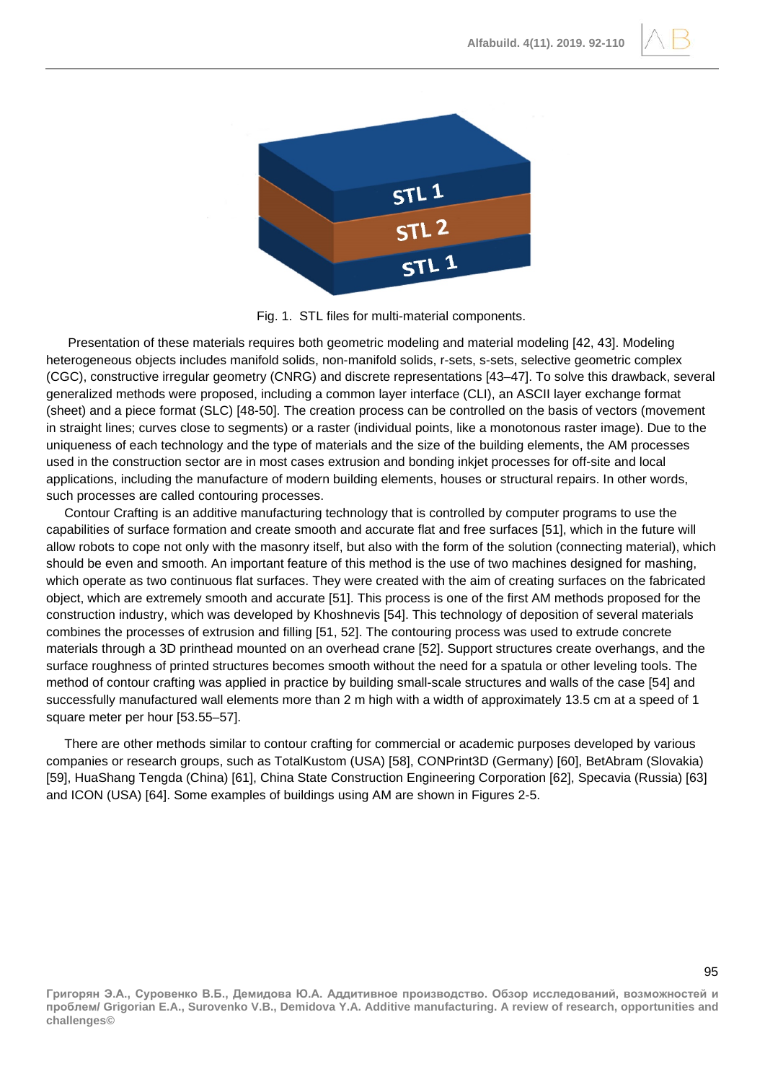



Fig. 1. STL files for multi-material components.

Presentation of these materials requires both geometric modeling and material modeling [42, 43]. Modeling heterogeneous objects includes manifold solids, non-manifold solids, r-sets, s-sets, selective geometric complex (CGC), constructive irregular geometry (CNRG) and discrete representations [43–47]. To solve this drawback, several generalized methods were proposed, including a common layer interface (CLI), an ASCII layer exchange format (sheet) and a piece format (SLC) [48-50]. The creation process can be controlled on the basis of vectors (movement in straight lines; curves close to segments) or a raster (individual points, like a monotonous raster image). Due to the uniqueness of each technology and the type of materials and the size of the building elements, the AM processes used in the construction sector are in most cases extrusion and bonding inkjet processes for off-site and local applications, including the manufacture of modern building elements, houses or structural repairs. In other words, such processes are called contouring processes.

Contour Crafting is an additive manufacturing technology that is controlled by computer programs to use the capabilities of surface formation and create smooth and accurate flat and free surfaces [51], which in the future will allow robots to cope not only with the masonry itself, but also with the form of the solution (connecting material), which should be even and smooth. An important feature of this method is the use of two machines designed for mashing, which operate as two continuous flat surfaces. They were created with the aim of creating surfaces on the fabricated object, which are extremely smooth and accurate [51]. This process is one of the first AM methods proposed for the construction industry, which was developed by Khoshnevis [54]. This technology of deposition of several materials combines the processes of extrusion and filling [51, 52]. The contouring process was used to extrude concrete materials through a 3D printhead mounted on an overhead crane [52]. Support structures create overhangs, and the surface roughness of printed structures becomes smooth without the need for a spatula or other leveling tools. The method of contour crafting was applied in practice by building small-scale structures and walls of the case [54] and successfully manufactured wall elements more than 2 m high with a width of approximately 13.5 cm at a speed of 1 square meter per hour [53.55–57].

There are other methods similar to contour crafting for commercial or academic purposes developed by various companies or research groups, such as TotalKustom (USA) [58], CONPrint3D (Germany) [60], BetAbram (Slovakia) [59], HuaShang Tengda (China) [61], China State Construction Engineering Corporation [62], Specavia (Russia) [63] and ICON (USA) [64]. Some examples of buildings using AM are shown in Figures 2-5.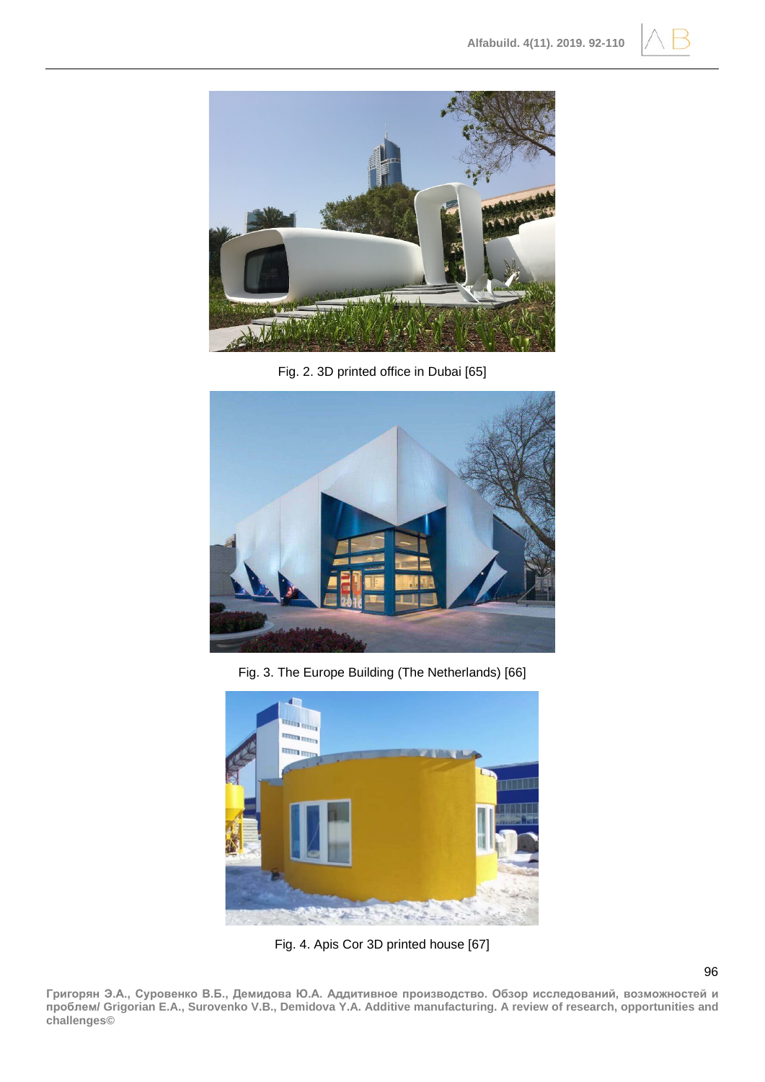



Fig. 2. 3D printed office in Dubai [65]



Fig. 3. The Europe Building (The Netherlands) [66]



Fig. 4. Apis Cor 3D printed house [67]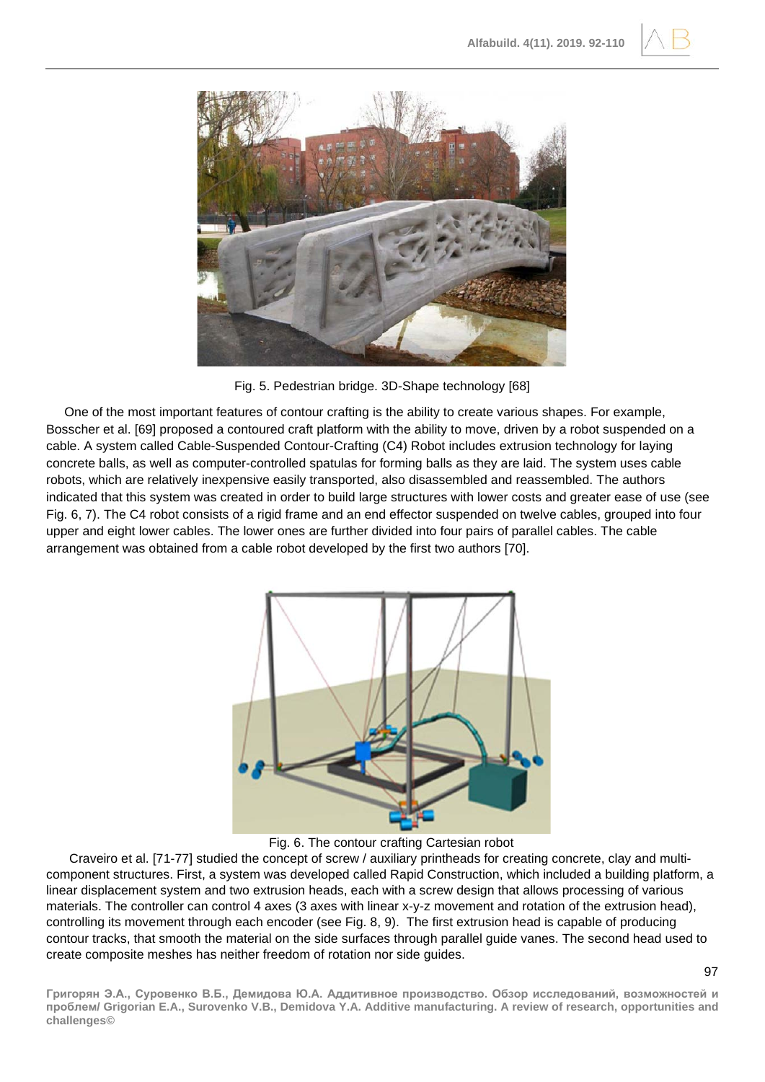



Fig. 5. Pedestrian bridge. 3D-Shape technology [68]

One of the most important features of contour crafting is the ability to create various shapes. For example, Bosscher et al. [69] proposed a contoured craft platform with the ability to move, driven by a robot suspended on a cable. A system called Cable-Suspended Contour-Crafting (C4) Robot includes extrusion technology for laying concrete balls, as well as computer-controlled spatulas for forming balls as they are laid. The system uses cable robots, which are relatively inexpensive easily transported, also disassembled and reassembled. The authors indicated that this system was created in order to build large structures with lower costs and greater ease of use (see Fig. 6, 7). The C4 robot consists of a rigid frame and an end effector suspended on twelve cables, grouped into four upper and eight lower cables. The lower ones are further divided into four pairs of parallel cables. The cable arrangement was obtained from a cable robot developed by the first two authors [70].



Fig. 6. The contour crafting Cartesian robot

Craveiro et al. [71-77] studied the concept of screw / auxiliary printheads for creating concrete, clay and multicomponent structures. First, a system was developed called Rapid Construction, which included a building platform, a linear displacement system and two extrusion heads, each with a screw design that allows processing of various materials. The controller can control 4 axes (3 axes with linear x-y-z movement and rotation of the extrusion head), controlling its movement through each encoder (see Fig. 8, 9). The first extrusion head is capable of producing contour tracks, that smooth the material on the side surfaces through parallel guide vanes. The second head used to create composite meshes has neither freedom of rotation nor side guides.

97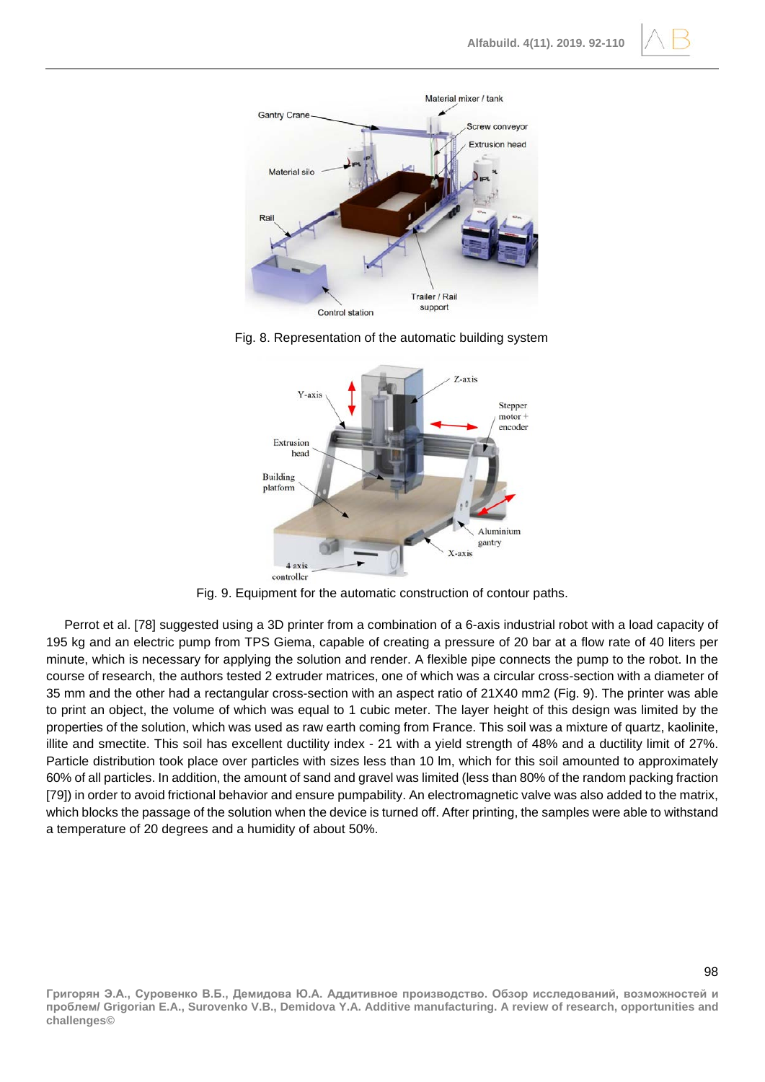



Fig. 8. Representation of the automatic building system



Fig. 9. Equipment for the automatic construction of contour paths.

Perrot et al. [78] suggested using a 3D printer from a combination of a 6-axis industrial robot with a load capacity of 195 kg and an electric pump from TPS Giema, capable of creating a pressure of 20 bar at a flow rate of 40 liters per minute, which is necessary for applying the solution and render. A flexible pipe connects the pump to the robot. In the course of research, the authors tested 2 extruder matrices, one of which was a circular cross-section with a diameter of 35 mm and the other had a rectangular cross-section with an aspect ratio of 21X40 mm2 (Fig. 9). The printer was able to print an object, the volume of which was equal to 1 cubic meter. The layer height of this design was limited by the properties of the solution, which was used as raw earth coming from France. This soil was a mixture of quartz, kaolinite, illite and smectite. This soil has excellent ductility index - 21 with a yield strength of 48% and a ductility limit of 27%. Particle distribution took place over particles with sizes less than 10 lm, which for this soil amounted to approximately 60% of all particles. In addition, the amount of sand and gravel was limited (less than 80% of the random packing fraction [79]) in order to avoid frictional behavior and ensure pumpability. An electromagnetic valve was also added to the matrix, which blocks the passage of the solution when the device is turned off. After printing, the samples were able to withstand a temperature of 20 degrees and a humidity of about 50%.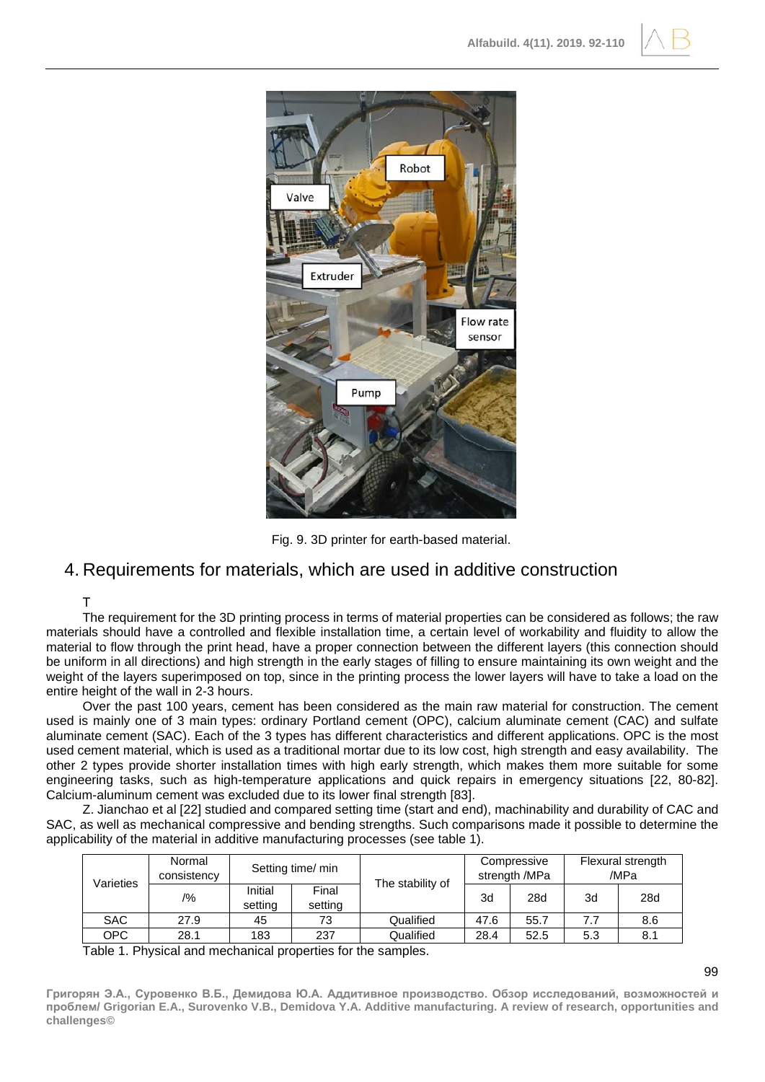



Fig. 9. 3D printer for earth-based material.

## 4. Requirements for materials, which are used in additive construction

#### Т

The requirement for the 3D printing process in terms of material properties can be considered as follows; the raw materials should have a controlled and flexible installation time, a certain level of workability and fluidity to allow the material to flow through the print head, have a proper connection between the different layers (this connection should be uniform in all directions) and high strength in the early stages of filling to ensure maintaining its own weight and the weight of the layers superimposed on top, since in the printing process the lower layers will have to take a load on the entire height of the wall in 2-3 hours.

Over the past 100 years, cement has been considered as the main raw material for construction. The cement used is mainly one of 3 main types: ordinary Portland cement (OPC), calcium aluminate cement (CAC) and sulfate aluminate cement (SAC). Each of the 3 types has different characteristics and different applications. OPC is the most used cement material, which is used as a traditional mortar due to its low cost, high strength and easy availability. The other 2 types provide shorter installation times with high early strength, which makes them more suitable for some engineering tasks, such as high-temperature applications and quick repairs in emergency situations [22, 80-82]. Calcium-aluminum cement was excluded due to its lower final strength [83].

Z. Jianchao et al [22] studied and compared setting time (start and end), machinability and durability of CAC and SAC, as well as mechanical compressive and bending strengths. Such comparisons made it possible to determine the applicability of the material in additive manufacturing processes (see table 1).

| Varieties | Normal<br>consistency | Setting time/ min  |                  | The stability of | Compressive<br>strength /MPa |      | Flexural strength<br>/MPa |     |
|-----------|-----------------------|--------------------|------------------|------------------|------------------------------|------|---------------------------|-----|
|           | /%                    | Initial<br>setting | Final<br>setting |                  | 3d                           | 28d  | 3d                        | 28d |
| SAC.      | 27.9                  | 45                 | 73               | Qualified        | 47.6                         | 55.7 | 7.7                       | 8.6 |
| OPC       | 28.1                  | 183                | 237              | Qualified        | 28.4                         | 52.5 | 5.3                       | 8.1 |

Table 1. Physical and mechanical properties for the samples.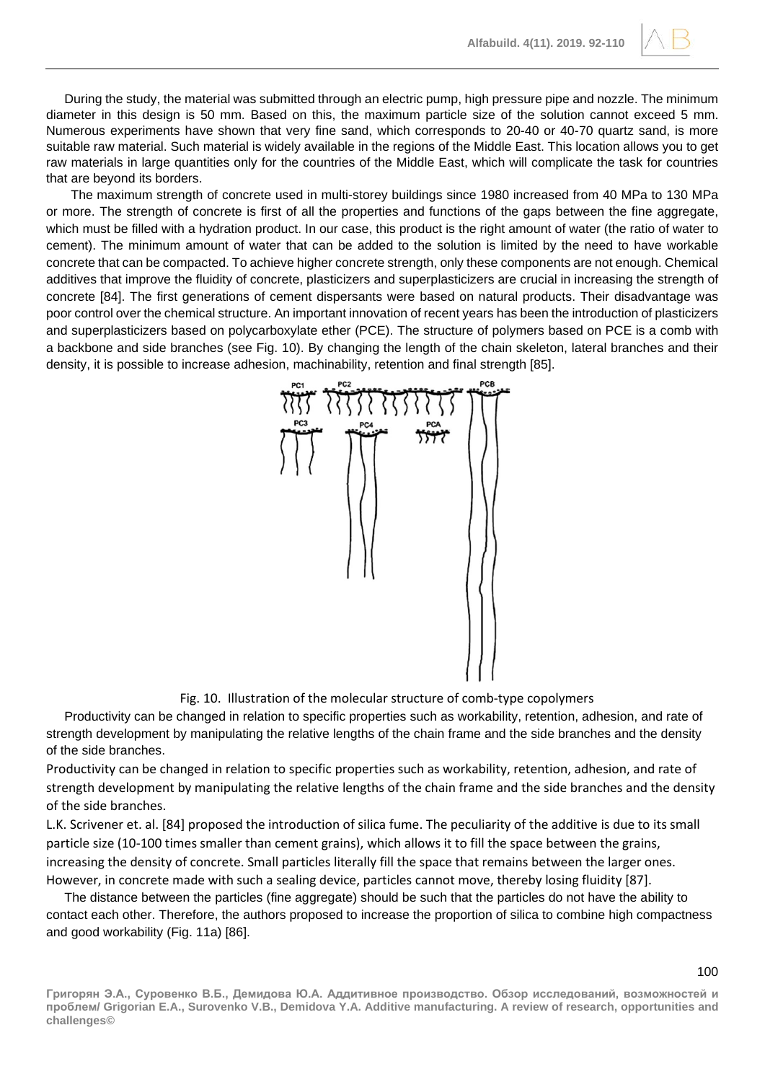During the study, the material was submitted through an electric pump, high pressure pipe and nozzle. The minimum diameter in this design is 50 mm. Based on this, the maximum particle size of the solution cannot exceed 5 mm. Numerous experiments have shown that very fine sand, which corresponds to 20-40 or 40-70 quartz sand, is more suitable raw material. Such material is widely available in the regions of the Middle East. This location allows you to get raw materials in large quantities only for the countries of the Middle East, which will complicate the task for countries that are beyond its borders.

The maximum strength of concrete used in multi-storey buildings since 1980 increased from 40 MPa to 130 MPa or more. The strength of concrete is first of all the properties and functions of the gaps between the fine aggregate, which must be filled with a hydration product. In our case, this product is the right amount of water (the ratio of water to cement). The minimum amount of water that can be added to the solution is limited by the need to have workable concrete that can be compacted. To achieve higher concrete strength, only these components are not enough. Chemical additives that improve the fluidity of concrete, plasticizers and superplasticizers are crucial in increasing the strength of concrete [84]. The first generations of cement dispersants were based on natural products. Their disadvantage was poor control over the chemical structure. An important innovation of recent years has been the introduction of plasticizers and superplasticizers based on polycarboxylate ether (PCE). The structure of polymers based on PCE is a comb with a backbone and side branches (see Fig. 10). By changing the length of the chain skeleton, lateral branches and their density, it is possible to increase adhesion, machinability, retention and final strength [85].



Fig. 10. Illustration of the molecular structure of comb-type copolymers

Productivity can be changed in relation to specific properties such as workability, retention, adhesion, and rate of strength development by manipulating the relative lengths of the chain frame and the side branches and the density of the side branches.

Productivity can be changed in relation to specific properties such as workability, retention, adhesion, and rate of strength development by manipulating the relative lengths of the chain frame and the side branches and the density of the side branches.

L.K. Scrivener et. al. [84] proposed the introduction of silica fume. The peculiarity of the additive is due to its small particle size (10-100 times smaller than cement grains), which allows it to fill the space between the grains, increasing the density of concrete. Small particles literally fill the space that remains between the larger ones. However, in concrete made with such a sealing device, particles cannot move, thereby losing fluidity [87].

The distance between the particles (fine aggregate) should be such that the particles do not have the ability to contact each other. Therefore, the authors proposed to increase the proportion of silica to combine high compactness and good workability (Fig. 11a) [86].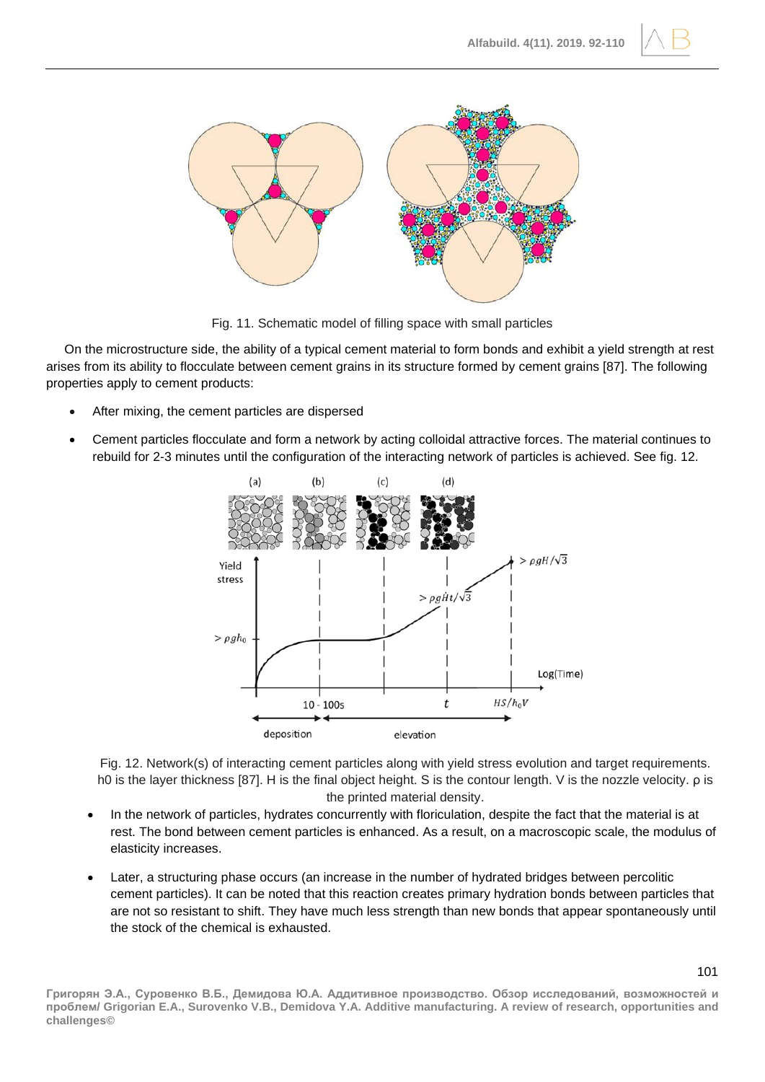



Fig. 11. Schematic model of filling space with small particles

On the microstructure side, the ability of a typical cement material to form bonds and exhibit a yield strength at rest arises from its ability to flocculate between cement grains in its structure formed by cement grains [87]. The following properties apply to cement products:

- After mixing, the cement particles are dispersed
- Cement particles flocculate and form a network by acting colloidal attractive forces. The material continues to rebuild for 2-3 minutes until the configuration of the interacting network of particles is achieved. See fig. 12.



Fig. 12. Network(s) of interacting cement particles along with yield stress evolution and target requirements. h0 is the layer thickness [87]. H is the final object height. S is the contour length. V is the nozzle velocity. ρ is the printed material density.

- In the network of particles, hydrates concurrently with floriculation, despite the fact that the material is at rest. The bond between cement particles is enhanced. As a result, on a macroscopic scale, the modulus of elasticity increases.
- Later, a structuring phase occurs (an increase in the number of hydrated bridges between percolitic cement particles). It can be noted that this reaction creates primary hydration bonds between particles that are not so resistant to shift. They have much less strength than new bonds that appear spontaneously until the stock of the chemical is exhausted.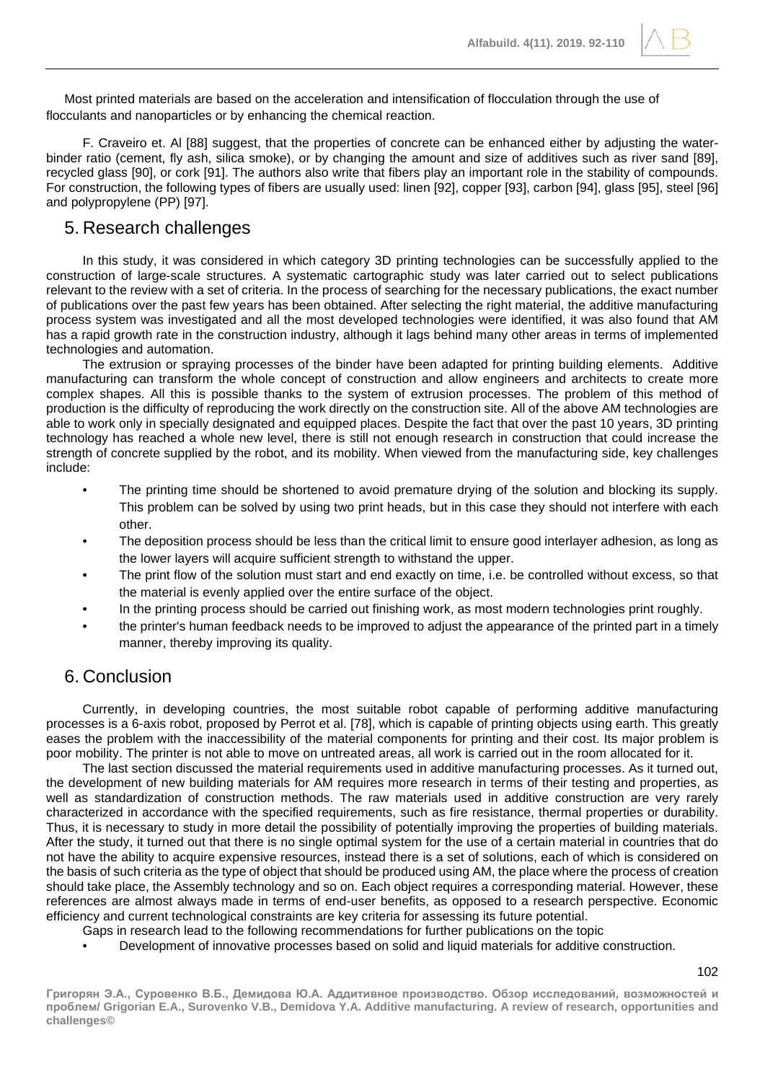Most printed materials are based on the acceleration and intensification of flocculation through the use of flocculants and nanoparticles or by enhancing the chemical reaction.

F. Craveiro et. Al [88] suggest, that the properties of concrete can be enhanced either by adjusting the waterbinder ratio (cement, fly ash, silica smoke), or by changing the amount and size of additives such as river sand [89], recycled glass [90], or cork [91]. The authors also write that fibers play an important role in the stability of compounds. For construction, the following types of fibers are usually used: linen [92], copper [93], carbon [94], glass [95], steel [96] and polypropylene (PP) [97].

## 5. Research challenges

In this study, it was considered in which category 3D printing technologies can be successfully applied to the construction of large-scale structures. A systematic cartographic study was later carried out to select publications relevant to the review with a set of criteria. In the process of searching for the necessary publications, the exact number of publications over the past few years has been obtained. After selecting the right material, the additive manufacturing process system was investigated and all the most developed technologies were identified, it was also found that AM has a rapid growth rate in the construction industry, although it lags behind many other areas in terms of implemented technologies and automation.

The extrusion or spraying processes of the binder have been adapted for printing building elements. Additive manufacturing can transform the whole concept of construction and allow engineers and architects to create more complex shapes. All this is possible thanks to the system of extrusion processes. The problem of this method of production is the difficulty of reproducing the work directly on the construction site. All of the above AM technologies are able to work only in specially designated and equipped places. Despite the fact that over the past 10 years, 3D printing technology has reached a whole new level, there is still not enough research in construction that could increase the strength of concrete supplied by the robot, and its mobility. When viewed from the manufacturing side, key challenges include:

- The printing time should be shortened to avoid premature drying of the solution and blocking its supply. This problem can be solved by using two print heads, but in this case they should not interfere with each other.
- The deposition process should be less than the critical limit to ensure good interlayer adhesion, as long as the lower layers will acquire sufficient strength to withstand the upper.
- The print flow of the solution must start and end exactly on time, i.e. be controlled without excess, so that the material is evenly applied over the entire surface of the object.
- In the printing process should be carried out finishing work, as most modern technologies print roughly.
- the printer's human feedback needs to be improved to adjust the appearance of the printed part in a timely manner, thereby improving its quality.

## 6. Conclusion

Currently, in developing countries, the most suitable robot capable of performing additive manufacturing processes is a 6-axis robot, proposed by Perrot et al. [78], which is capable of printing objects using earth. This greatly eases the problem with the inaccessibility of the material components for printing and their cost. Its major problem is poor mobility. The printer is not able to move on untreated areas, all work is carried out in the room allocated for it.

The last section discussed the material requirements used in additive manufacturing processes. As it turned out, the development of new building materials for AM requires more research in terms of their testing and properties, as well as standardization of construction methods. The raw materials used in additive construction are very rarely characterized in accordance with the specified requirements, such as fire resistance, thermal properties or durability. Thus, it is necessary to study in more detail the possibility of potentially improving the properties of building materials. After the study, it turned out that there is no single optimal system for the use of a certain material in countries that do not have the ability to acquire expensive resources, instead there is a set of solutions, each of which is considered on the basis of such criteria as the type of object that should be produced using AM, the place where the process of creation should take place, the Assembly technology and so on. Each object requires a corresponding material. However, these references are almost always made in terms of end-user benefits, as opposed to a research perspective. Economic efficiency and current technological constraints are key criteria for assessing its future potential.

Gaps in research lead to the following recommendations for further publications on the topic

• Development of innovative processes based on solid and liquid materials for additive construction.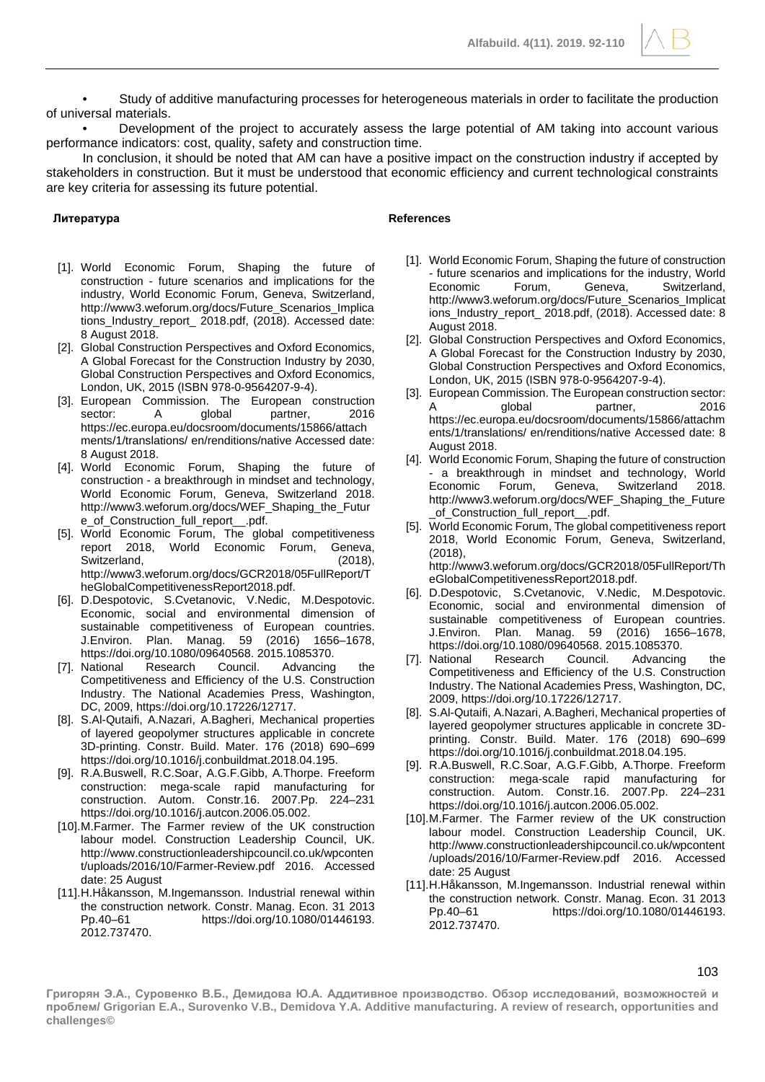**Alfabuild. 4(11). 2019. 92-110**

• Study of additive manufacturing processes for heterogeneous materials in order to facilitate the production of universal materials.

• Development of the project to accurately assess the large potential of AM taking into account various performance indicators: cost, quality, safety and construction time.

In conclusion, it should be noted that AM can have a positive impact on the construction industry if accepted by stakeholders in construction. But it must be understood that economic efficiency and current technological constraints are key criteria for assessing its future potential.

#### **Литература References**

- [1]. World Economic Forum, Shaping the future of construction - future scenarios and implications for the industry, World Economic Forum, Geneva, Switzerland, http://www3.weforum.org/docs/Future\_Scenarios\_Implica tions\_Industry\_report\_ 2018.pdf, (2018). Accessed date: 8 August 2018.
- [2]. Global Construction Perspectives and Oxford Economics, A Global Forecast for the Construction Industry by 2030, Global Construction Perspectives and Oxford Economics, London, UK, 2015 (ISBN 978-0-9564207-9-4).
- [3]. European Commission. The European construction<br>sector: A global partner, 2016 sector: A global partner, https://ec.europa.eu/docsroom/documents/15866/attach ments/1/translations/ en/renditions/native Accessed date: 8 August 2018.
- [4]. World Economic Forum, Shaping the future of construction - a breakthrough in mindset and technology, World Economic Forum, Geneva, Switzerland 2018. http://www3.weforum.org/docs/WEF\_Shaping\_the\_Futur e\_of\_Construction\_full\_report\_\_.pdf.
- [5]. World Economic Forum, The global competitiveness report 2018, World Economic Forum, Geneva, Switzerland, (2018), http://www3.weforum.org/docs/GCR2018/05FullReport/T heGlobalCompetitivenessReport2018.pdf.
- [6]. D.Despotovic, S.Cvetanovic, V.Nedic, M.Despotovic. Economic, social and environmental dimension of sustainable competitiveness of European countries. J.Environ. Plan. Manag. 59 (2016) 1656–1678, https://doi.org/10.1080/09640568. 2015.1085370.
- [7]. National Research Council. Advancing the Competitiveness and Efficiency of the U.S. Construction Industry. The National Academies Press, Washington, DC, 2009, https://doi.org/10.17226/12717.
- [8]. S.Al-Qutaifi, A.Nazari, A.Bagheri, Mechanical properties of layered geopolymer structures applicable in concrete 3D-printing. Constr. Build. Mater. 176 (2018) 690–699 https://doi.org/10.1016/j.conbuildmat.2018.04.195.
- [9]. R.A.Buswell, R.C.Soar, A.G.F.Gibb, A.Thorpe. Freeform construction: mega-scale rapid manufacturing for construction. Autom. Constr.16. 2007.Pp. 224–231 https://doi.org/10.1016/j.autcon.2006.05.002.
- [10].M.Farmer. The Farmer review of the UK construction labour model. Construction Leadership Council, UK. http://www.constructionleadershipcouncil.co.uk/wpconten t/uploads/2016/10/Farmer-Review.pdf 2016. Accessed date: 25 August
- [11].H.Håkansson, M.Ingemansson. Industrial renewal within the construction network. Constr. Manag. Econ. 31 2013 Pp.40–61 https://doi.org/10.1080/01446193. 2012.737470.

- [1]. World Economic Forum, Shaping the future of construction - future scenarios and implications for the industry, World Economic Forum, Geneva, Switzerland, http://www3.weforum.org/docs/Future\_Scenarios\_Implicat ions\_Industry\_report\_ 2018.pdf, (2018). Accessed date: 8 August 2018.
- [2]. Global Construction Perspectives and Oxford Economics, A Global Forecast for the Construction Industry by 2030, Global Construction Perspectives and Oxford Economics, London, UK, 2015 (ISBN 978-0-9564207-9-4).
- [3]. European Commission. The European construction sector: A global partner, 2016 https://ec.europa.eu/docsroom/documents/15866/attachm ents/1/translations/ en/renditions/native Accessed date: 8 August 2018.
- [4]. World Economic Forum, Shaping the future of construction - a breakthrough in mindset and technology, World Economic Forum, Geneva, Switzerland 2018. http://www3.weforum.org/docs/WEF\_Shaping\_the\_Future \_of\_Construction\_full\_report\_\_.pdf.
- [5]. World Economic Forum, The global competitiveness report 2018, World Economic Forum, Geneva, Switzerland, (2018), http://www3.weforum.org/docs/GCR2018/05FullReport/Th
- eGlobalCompetitivenessReport2018.pdf. [6]. D.Despotovic, S.Cvetanovic, V.Nedic, M.Despotovic. Economic, social and environmental dimension of sustainable competitiveness of European countries.<br>J.Environ. Plan. Manag. 59 (2016) 1656–1678, J.Environ. Plan. Manag. 59 https://doi.org/10.1080/09640568. 2015.1085370.
- [7]. National Research Council. Advancing the Competitiveness and Efficiency of the U.S. Construction Industry. The National Academies Press, Washington, DC, 2009, https://doi.org/10.17226/12717.
- [8]. S.Al-Qutaifi, A.Nazari, A.Bagheri, Mechanical properties of layered geopolymer structures applicable in concrete 3Dprinting. Constr. Build. Mater. 176 (2018) 690–699 https://doi.org/10.1016/j.conbuildmat.2018.04.195.
- [9]. R.A.Buswell, R.C.Soar, A.G.F.Gibb, A.Thorpe. Freeform construction: mega-scale rapid manufacturing for construction. Autom. Constr.16. 2007.Pp. 224–231 https://doi.org/10.1016/j.autcon.2006.05.002.
- [10].M.Farmer. The Farmer review of the UK construction labour model. Construction Leadership Council, UK. http://www.constructionleadershipcouncil.co.uk/wpcontent /uploads/2016/10/Farmer-Review.pdf 2016. Accessed date: 25 August
- [11].H.Håkansson, M.Ingemansson. Industrial renewal within the construction network. Constr. Manag. Econ. 31 2013 Pp.40–61 https://doi.org/10.1080/01446193. 2012.737470.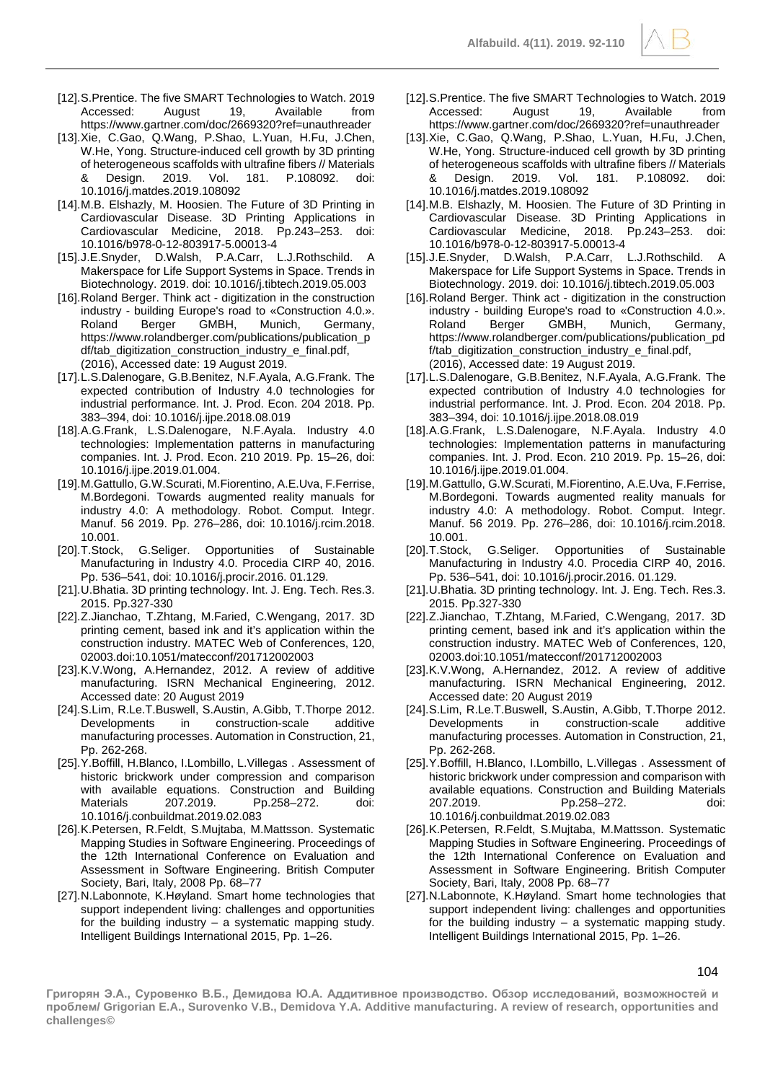- [12].S.Prentice. The five SMART Technologies to Watch. 2019 Accessed: August 19, Available from https://www.gartner.com/doc/2669320?ref=unauthreader
- [13].Xie, C.Gao, Q.Wang, P.Shao, L.Yuan, H.Fu, J.Chen, W.He, Yong. Structure-induced cell growth by 3D printing of heterogeneous scaffolds with ultrafine fibers // Materials & Design. 2019. Vol. 181. P.108092. doi: 10.1016/j.matdes.2019.108092
- [14].M.B. Elshazly, M. Hoosien. The Future of 3D Printing in Cardiovascular Disease. 3D Printing Applications in Cardiovascular Medicine, 2018. Pp.243–253. doi: 10.1016/b978-0-12-803917-5.00013-4
- [15].J.E.Snyder, D.Walsh, P.A.Carr, L.J.Rothschild. A Makerspace for Life Support Systems in Space. Trends in Biotechnology. 2019. doi: 10.1016/j.tibtech.2019.05.003
- [16].Roland Berger. Think act digitization in the construction industry - building Europe's road to «Construction 4.0.». Roland Berger GMBH, Munich, Germany, https://www.rolandberger.com/publications/publication\_p df/tab\_digitization\_construction\_industry\_e\_final.pdf, (2016), Accessed date: 19 August 2019.
- [17].L.S.Dalenogare, G.B.Benitez, N.F.Ayala, A.G.Frank. The expected contribution of Industry 4.0 technologies for industrial performance. Int. J. Prod. Econ. 204 2018. Pp. 383–394, doi: 10.1016/j.ijpe.2018.08.019
- [18].A.G.Frank, L.S.Dalenogare, N.F.Ayala. Industry 4.0 technologies: Implementation patterns in manufacturing companies. Int. J. Prod. Econ. 210 2019. Pp. 15–26, doi: 10.1016/j.ijpe.2019.01.004.
- [19].M.Gattullo, G.W.Scurati, M.Fiorentino, A.E.Uva, F.Ferrise, M.Bordegoni. Towards augmented reality manuals for industry 4.0: A methodology. Robot. Comput. Integr. Manuf. 56 2019. Pp. 276–286, doi: 10.1016/j.rcim.2018.
- .10.001<br>,J.T.Stock, G.Seliger. Opportunities of Sustainable Manufacturing in Industry 4.0. Procedia CIRP 40, 2016. Pp. 536–541, doi: 10.1016/j.procir.2016. 01.129.
- [21].U.Bhatia. 3D printing technology. Int. J. Eng. Tech. Res.3. 2015. Pp.327-330
- [22].Z.Jianchao, T.Zhtang, M.Faried, C.Wengang, 2017. 3D printing cement, based ink and it's application within the construction industry. MATEC Web of Conferences, 120, 02003.doi:10.1051/matecconf/201712002003
- [23].K.V.Wong, A.Hernandez, 2012. A review of additive manufacturing. ISRN Mechanical Engineering, 2012. Accessed date: 20 August 2019
- [24].S.Lim, R.Le.T.Buswell, S.Austin, A.Gibb, T.Thorpe 2012. Developments in construction-scale additive manufacturing processes. Automation in Construction, 21, Pp. 262-268.
- [25].Y.Boffill, H.Blanco, I.Lombillo, L.Villegas . Assessment of historic brickwork under compression and comparison with available equations. Construction and Building Materials 207.2019. Pp.258–272. doi: 10.1016/j.conbuildmat.2019.02.083
- [26].K.Petersen, R.Feldt, S.Mujtaba, M.Mattsson. Systematic Mapping Studies in Software Engineering. Proceedings of the 12th International Conference on Evaluation and Assessment in Software Engineering. British Computer Society, Bari, Italy, 2008 Pp. 68–77
- [27].N.Labonnote, K.Høyland. Smart home technologies that support independent living: challenges and opportunities for the building industry  $-$  a systematic mapping study. Intelligent Buildings International 2015, Pp. 1–26.
- [12].S.Prentice. The five SMART Technologies to Watch. 2019 Accessed: August 19, Available from https://www.gartner.com/doc/2669320?ref=unauthreader
- [13]. Xie, C.Gao, Q.Wang, P.Shao, L.Yuan, H.Fu, J.Chen, W.He, Yong. Structure-induced cell growth by 3D printing of heterogeneous scaffolds with ultrafine fibers // Materials<br>8. Design. 2019. Vol. 181. P.108092. doi: & Design. 2019. Vol. 181. P.108092. doi: 10.1016/j.matdes.2019.108092
- [14].M.B. Elshazly, M. Hoosien. The Future of 3D Printing in Cardiovascular Disease. 3D Printing Applications in Cardiovascular Medicine, 2018. Pp.243–253. doi: 10.1016/b978-0-12-803917-5.00013-4
- [15].J.E.Snyder, D.Walsh, P.A.Carr, L.J.Rothschild. A Makerspace for Life Support Systems in Space. Trends in Biotechnology. 2019. doi: 10.1016/j.tibtech.2019.05.003
- [16].Roland Berger. Think act digitization in the construction industry - building Europe's road to «Construction 4.0.». Roland Berger GMBH, Munich, Germany, https://www.rolandberger.com/publications/publication\_pd f/tab\_digitization\_construction\_industry\_e\_final.pdf, (2016), Accessed date: 19 August 2019.
- [17].L.S.Dalenogare, G.B.Benitez, N.F.Ayala, A.G.Frank. The expected contribution of Industry 4.0 technologies for industrial performance. Int. J. Prod. Econ. 204 2018. Pp. 383–394, doi: 10.1016/j.ijpe.2018.08.019
- [18].A.G.Frank, L.S.Dalenogare, N.F.Ayala. Industry 4.0 technologies: Implementation patterns in manufacturing companies. Int. J. Prod. Econ. 210 2019. Pp. 15–26, doi: 10.1016/j.ijpe.2019.01.004.
- [19].M.Gattullo, G.W.Scurati, M.Fiorentino, A.E.Uva, F.Ferrise, M.Bordegoni. Towards augmented reality manuals for industry 4.0: A methodology. Robot. Comput. Integr. Manuf. 56 2019. Pp. 276–286, doi: 10.1016/j.rcim.2018. 10.001.
- [20].T.Stock, G.Seliger. Opportunities of Sustainable Manufacturing in Industry 4.0. Procedia CIRP 40, 2016. Pp. 536–541, doi: 10.1016/j.procir.2016. 01.129.
- [21].U.Bhatia. 3D printing technology. Int. J. Eng. Tech. Res.3. 2015. Pp.327-330
- [22].Z.Jianchao, T.Zhtang, M.Faried, C.Wengang, 2017. 3D printing cement, based ink and it's application within the construction industry. MATEC Web of Conferences, 120, 02003.doi:10.1051/matecconf/201712002003
- [23].K.V.Wong, A.Hernandez, 2012. A review of additive manufacturing. ISRN Mechanical Engineering, 2012. Accessed date: 20 August 2019
- [24].S.Lim, R.Le.T.Buswell, S.Austin, A.Gibb, T.Thorpe 2012. Developments in construction-scale additive manufacturing processes. Automation in Construction, 21, Pp. 262-268.
- [25].Y.Boffill, H.Blanco, I.Lombillo, L.Villegas . Assessment of historic brickwork under compression and comparison with available equations. Construction and Building Materials 207.2019. Pp.258–272. doi: 10.1016/j.conbuildmat.2019.02.083
- [26].K.Petersen, R.Feldt, S.Mujtaba, M.Mattsson. Systematic Mapping Studies in Software Engineering. Proceedings of the 12th International Conference on Evaluation and Assessment in Software Engineering. British Computer Society, Bari, Italy, 2008 Pp. 68–77
- [27].N.Labonnote, K.Høyland. Smart home technologies that support independent living: challenges and opportunities for the building industry  $-$  a systematic mapping study. Intelligent Buildings International 2015, Pp. 1–26.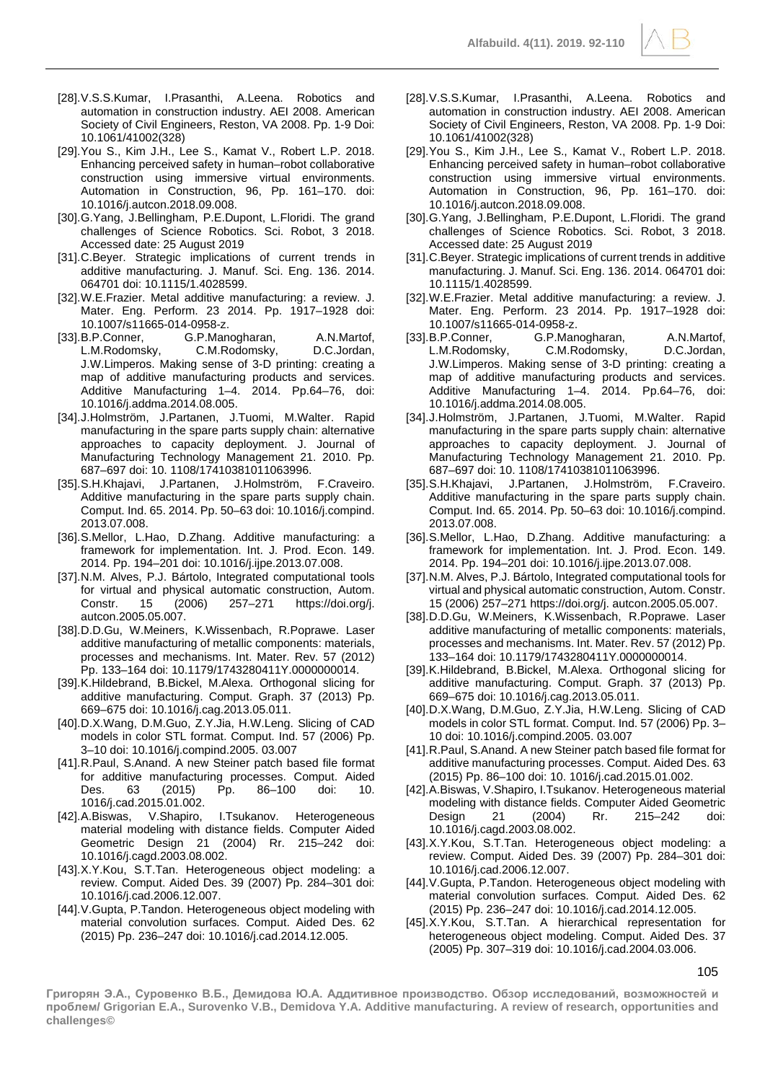- [28].V.S.S.Kumar, I.Prasanthi, A.Leena. Robotics and automation in construction industry. AEI 2008. American Society of Civil Engineers, Reston, VA 2008. Pp. 1-9 Doi: 10.1061/41002(328)
- [29].You S., Kim J.H., Lee S., Kamat V., Robert L.P. 2018. Enhancing perceived safety in human–robot collaborative construction using immersive virtual environments. Automation in Construction, 96, Pp. 161–170. doi: 10.1016/j.autcon.2018.09.008.
- [30].G.Yang, J.Bellingham, P.E.Dupont, L.Floridi. The grand challenges of Science Robotics. Sci. Robot, 3 2018. Accessed date: 25 August 2019
- [31].C.Beyer. Strategic implications of current trends in additive manufacturing. J. Manuf. Sci. Eng. 136. 2014. 064701 doi: 10.1115/1.4028599.
- [32].W.E.Frazier. Metal additive manufacturing: a review. J. Mater. Eng. Perform. 23 2014. Pp. 1917–1928 doi: 10.1007/s11665-014-0958-z.
- [33].B.P.Conner, G.P.Manogharan, A.N.Martof, L.M.Rodomsky, C.M.Rodomsky, D.C.Jordan, J.W.Limperos. Making sense of 3-D printing: creating a map of additive manufacturing products and services. Additive Manufacturing 1–4. 2014. Pp.64–76, doi: 10.1016/j.addma.2014.08.005.
- [34].J.Holmström, J.Partanen, J.Tuomi, M.Walter. Rapid manufacturing in the spare parts supply chain: alternative approaches to capacity deployment. J. Journal of Manufacturing Technology Management 21. 2010. Pp. 687–697 doi: 10. 1108/17410381011063996.
- [35].S.H.Khajavi, J.Partanen, J.Holmström, F.Craveiro. Additive manufacturing in the spare parts supply chain. Comput. Ind. 65. 2014. Pp. 50–63 doi: 10.1016/j.compind. 2013.07.008.
- [36].S.Mellor, L.Hao, D.Zhang. Additive manufacturing: a framework for implementation. Int. J. Prod. Econ. 149. 2014. Pp. 194–201 doi: 10.1016/j.ijpe.2013.07.008.
- [37].N.M. Alves, P.J. Bártolo, Integrated computational tools for virtual and physical automatic construction, Autom. Constr. 15 (2006) 257–271 https://doi.org/j. autcon.2005.05.007.
- [38].D.D.Gu, W.Meiners, K.Wissenbach, R.Poprawe. Laser additive manufacturing of metallic components: materials, processes and mechanisms. Int. Mater. Rev. 57 (2012) Pp. 133–164 doi: 10.1179/1743280411Y.0000000014.
- [39].K.Hildebrand, B.Bickel, M.Alexa. Orthogonal slicing for additive manufacturing. Comput. Graph. 37 (2013) Pp. 669–675 doi: 10.1016/j.cag.2013.05.011.
- [40].D.X.Wang, D.M.Guo, Z.Y.Jia, H.W.Leng. Slicing of CAD models in color STL format. Comput. Ind. 57 (2006) Pp. 3–10 doi: 10.1016/j.compind.2005. 03.007
- [41].R.Paul, S.Anand. A new Steiner patch based file format for additive manufacturing processes. Comput. Aided Des. 63 (2015) Pp. 86–100 doi: 10. 1016/j.cad.2015.01.002.
- [42].A.Biswas, V.Shapiro, I.Tsukanov. Heterogeneous material modeling with distance fields. Computer Aided Geometric Design 21 (2004) Rr. 215–242 doi: 10.1016/j.cagd.2003.08.002.
- [43].X.Y.Kou, S.T.Tan. Heterogeneous object modeling: a review. Comput. Aided Des. 39 (2007) Pp. 284–301 doi: 10.1016/j.cad.2006.12.007.
- [44].V.Gupta, P.Tandon. Heterogeneous object modeling with material convolution surfaces. Comput. Aided Des. 62 (2015) Pp. 236–247 doi: 10.1016/j.cad.2014.12.005.
- [28].V.S.S.Kumar, I.Prasanthi, A.Leena. Robotics and automation in construction industry. AEI 2008. American Society of Civil Engineers, Reston, VA 2008. Pp. 1-9 Doi: 10.1061/41002(328)
- [29].You S., Kim J.H., Lee S., Kamat V., Robert L.P. 2018. Enhancing perceived safety in human–robot collaborative construction using immersive virtual environments. Automation in Construction, 96, Pp. 161–170. doi: 10.1016/j.autcon.2018.09.008.
- [30].G.Yang, J.Bellingham, P.E.Dupont, L.Floridi. The grand challenges of Science Robotics. Sci. Robot, 3 2018. Accessed date: 25 August 2019
- [31].C.Beyer. Strategic implications of current trends in additive manufacturing. J. Manuf. Sci. Eng. 136. 2014. 064701 doi: 10.1115/1.4028599.
- [32].W.E.Frazier. Metal additive manufacturing: a review. J. Mater. Eng. Perform. 23 2014. Pp. 1917–1928 doi: 10.1007/s11665-014-0958-z.
- [33].B.P.Conner, G.P.Manogharan, A.N.Martof, L.M.Rodomsky, C.M.Rodomsky, D.C.Jordan, J.W.Limperos. Making sense of 3-D printing: creating a map of additive manufacturing products and services. Additive Manufacturing 1–4. 2014. Pp.64–76, doi: 10.1016/j.addma.2014.08.005.
- [34].J.Holmström, J.Partanen, J.Tuomi, M.Walter. Rapid manufacturing in the spare parts supply chain: alternative approaches to capacity deployment. J. Journal of Manufacturing Technology Management 21. 2010. Pp. 687–697 doi: 10. 1108/17410381011063996.
- J.Partanen, J.Holmström, F.Craveiro. Additive manufacturing in the spare parts supply chain. Comput. Ind. 65. 2014. Pp. 50–63 doi: 10.1016/j.compind. 2013.07.008.
- [36].S.Mellor, L.Hao, D.Zhang. Additive manufacturing: a framework for implementation. Int. J. Prod. Econ. 149. 2014. Pp. 194–201 doi: 10.1016/j.ijpe.2013.07.008.
- [37].N.M. Alves, P.J. Bártolo, Integrated computational tools for virtual and physical automatic construction, Autom. Constr. 15 (2006) 257–271 https://doi.org/j. autcon.2005.05.007.
- [38].D.D.Gu, W.Meiners, K.Wissenbach, R.Poprawe. Laser additive manufacturing of metallic components: materials, processes and mechanisms. Int. Mater. Rev. 57 (2012) Pp. 133–164 doi: 10.1179/1743280411Y.0000000014.
- [39].K.Hildebrand, B.Bickel, M.Alexa. Orthogonal slicing for additive manufacturing. Comput. Graph. 37 (2013) Pp. 669–675 doi: 10.1016/j.cag.2013.05.011.
- [40].D.X.Wang, D.M.Guo, Z.Y.Jia, H.W.Leng. Slicing of CAD models in color STL format. Comput. Ind. 57 (2006) Pp. 3– 10 doi: 10.1016/j.compind.2005. 03.007
- [41].R.Paul, S.Anand. A new Steiner patch based file format for additive manufacturing processes. Comput. Aided Des. 63 (2015) Pp. 86–100 doi: 10. 1016/j.cad.2015.01.002.
- [42].A.Biswas, V.Shapiro, I.Tsukanov. Heterogeneous material modeling with distance fields. Computer Aided Geometric<br>Design 21 (2004) Rr. 215-242 doi: Design 21 (2004) Rr. 215–242 doi: 10.1016/j.cagd.2003.08.002.
- [43].X.Y.Kou, S.T.Tan. Heterogeneous object modeling: a review. Comput. Aided Des. 39 (2007) Pp. 284–301 doi: 10.1016/j.cad.2006.12.007.
- [44].V.Gupta, P.Tandon. Heterogeneous object modeling with material convolution surfaces. Comput. Aided Des. 62 (2015) Pp. 236–247 doi: 10.1016/j.cad.2014.12.005.
- [45].X.Y.Kou, S.T.Tan. A hierarchical representation for heterogeneous object modeling. Comput. Aided Des. 37 (2005) Pp. 307–319 doi: 10.1016/j.cad.2004.03.006.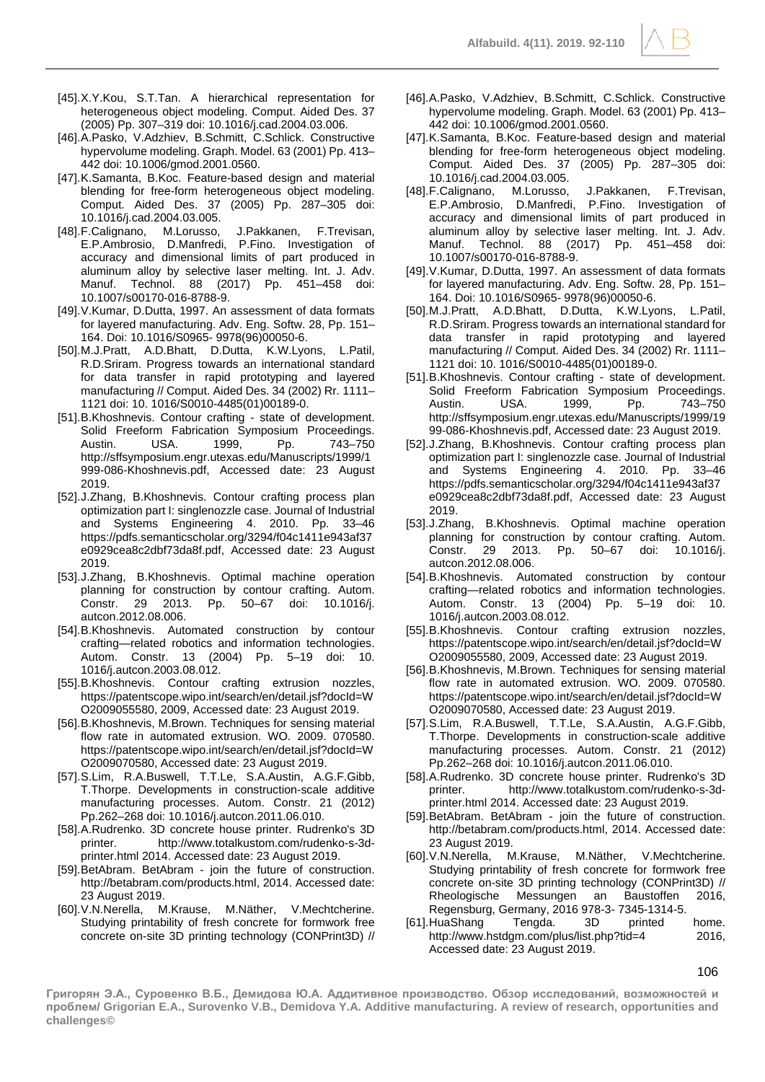- [45].X.Y.Kou, S.T.Tan. A hierarchical representation for heterogeneous object modeling. Comput. Aided Des. 37 (2005) Pp. 307–319 doi: 10.1016/j.cad.2004.03.006.
- [46].A.Pasko, V.Adzhiev, B.Schmitt, C.Schlick. Constructive hypervolume modeling. Graph. Model. 63 (2001) Pp. 413– 442 doi: 10.1006/gmod.2001.0560.
- [47].K.Samanta, B.Koc. Feature-based design and material blending for free-form heterogeneous object modeling. Comput. Aided Des. 37 (2005) Pp. 287–305 doi: 10.1016/j.cad.2004.03.005.
- [48].F.Calignano, M.Lorusso, J.Pakkanen, F.Trevisan, E.P.Ambrosio, D.Manfredi, P.Fino. Investigation of accuracy and dimensional limits of part produced in aluminum alloy by selective laser melting. Int. J. Adv. Manuf. Technol. 88 (2017) Pp. 451–458 doi: 10.1007/s00170-016-8788-9.
- [49].V.Kumar, D.Dutta, 1997. An assessment of data formats for layered manufacturing. Adv. Eng. Softw. 28, Pp. 151– 164. Doi: 10.1016/S0965- 9978(96)00050-6.
- [50].M.J.Pratt, A.D.Bhatt, D.Dutta, K.W.Lyons, L.Patil, R.D.Sriram. Progress towards an international standard for data transfer in rapid prototyping and layered manufacturing // Comput. Aided Des. 34 (2002) Rr. 1111– 1121 doi: 10. 1016/S0010-4485(01)00189-0.
- [51].B.Khoshnevis. Contour crafting state of development. Solid Freeform Fabrication Symposium Proceedings.<br>Austin. USA. 1999. Pp. 743–750 Austin. USA. 1999, Pp. 743–750 http://sffsymposium.engr.utexas.edu/Manuscripts/1999/1 999-086-Khoshnevis.pdf, Accessed date: 23 August 2019.
- [52].J.Zhang, B.Khoshnevis. Contour crafting process plan optimization part I: singlenozzle case. Journal of Industrial and Systems Engineering 4. 2010. Pp. 33–46 https://pdfs.semanticscholar.org/3294/f04c1411e943af37 e0929cea8c2dbf73da8f.pdf, Accessed date: 23 August 2019.
- [53].J.Zhang, B.Khoshnevis. Optimal machine operation planning for construction by contour crafting. Autom. Constr. 29 2013. Pp. 50–67 doi: 10.1016/j. autcon.2012.08.006.
- [54].B.Khoshnevis. Automated construction by contour crafting—related robotics and information technologies. Autom. Constr. 13 (2004) Pp. 5–19 doi: 10. 1016/j.autcon.2003.08.012.
- [55].B.Khoshnevis. Contour crafting extrusion nozzles, https://patentscope.wipo.int/search/en/detail.jsf?docId=W O2009055580, 2009, Accessed date: 23 August 2019.
- [56].B.Khoshnevis, M.Brown. Techniques for sensing material flow rate in automated extrusion. WO. 2009. 070580. https://patentscope.wipo.int/search/en/detail.jsf?docId=W O2009070580, Accessed date: 23 August 2019.
- [57].S.Lim, R.A.Buswell, T.T.Le, S.A.Austin, A.G.F.Gibb, T.Thorpe. Developments in construction-scale additive manufacturing processes. Autom. Constr. 21 (2012) Pp.262–268 doi: 10.1016/j.autcon.2011.06.010.
- [58].A.Rudrenko. 3D concrete house printer. Rudrenko's 3D printer. http://www.totalkustom.com/rudenko-s-3dprinter.html 2014. Accessed date: 23 August 2019.
- [59].BetAbram. BetAbram join the future of construction. http://betabram.com/products.html, 2014. Accessed date: 23 August 2019.
- [60].V.N.Nerella, M.Krause, M.Näther, V.Mechtcherine. Studying printability of fresh concrete for formwork free concrete on-site 3D printing technology (CONPrint3D) //
- [46].A.Pasko, V.Adzhiev, B.Schmitt, C.Schlick. Constructive hypervolume modeling. Graph. Model. 63 (2001) Pp. 413– 442 doi: 10.1006/gmod.2001.0560.
- [47].K.Samanta, B.Koc. Feature-based design and material blending for free-form heterogeneous object modeling. Comput. Aided Des. 37 (2005) Pp. 287–305 doi: 10.1016/j.cad.2004.03.005.
- [48].F.Calignano, M.Lorusso, J.Pakkanen, F.Trevisan, E.P.Ambrosio, D.Manfredi, P.Fino. Investigation of accuracy and dimensional limits of part produced in aluminum alloy by selective laser melting. Int. J. Adv. Manuf. Technol. 88 (2017) Pp. 451–458 doi: 10.1007/s00170-016-8788-9.
- [49].V.Kumar, D.Dutta, 1997. An assessment of data formats for layered manufacturing. Adv. Eng. Softw. 28, Pp. 151– 164. Doi: 10.1016/S0965- 9978(96)00050-6.
- [50].M.J.Pratt, A.D.Bhatt, D.Dutta, K.W.Lyons, L.Patil, R.D.Sriram. Progress towards an international standard for data transfer in rapid prototyping and layered manufacturing // Comput. Aided Des. 34 (2002) Rr. 1111– 1121 doi: 10. 1016/S0010-4485(01)00189-0.
- [51].B.Khoshnevis. Contour crafting state of development. Solid Freeform Fabrication Symposium Proceedings. Austin. USA. 1999, Pp. 743–750 http://sffsymposium.engr.utexas.edu/Manuscripts/1999/19 99-086-Khoshnevis.pdf, Accessed date: 23 August 2019.
- [52].J.Zhang, B.Khoshnevis. Contour crafting process plan optimization part I: singlenozzle case. Journal of Industrial and Systems Engineering 4. 2010. Pp. 33–46 https://pdfs.semanticscholar.org/3294/f04c1411e943af37 e0929cea8c2dbf73da8f.pdf, Accessed date: 23 August 2019.
- [53].J.Zhang, B.Khoshnevis. Optimal machine operation planning for construction by contour crafting. Autom. Constr. 29 2013. Pp. 50–67 doi: 10.1016/j. autcon.2012.08.006.
- [54].B.Khoshnevis. Automated construction by contour crafting—related robotics and information technologies. Autom. Constr. 13 (2004) Pp. 5–19 doi: 10. 1016/j.autcon.2003.08.012.
- [55].B.Khoshnevis. Contour crafting extrusion nozzles, https://patentscope.wipo.int/search/en/detail.jsf?docId=W O2009055580, 2009, Accessed date: 23 August 2019.
- [56].B.Khoshnevis, M.Brown. Techniques for sensing material flow rate in automated extrusion. WO. 2009. 070580. https://patentscope.wipo.int/search/en/detail.jsf?docId=W O2009070580, Accessed date: 23 August 2019.
- [57].S.Lim, R.A.Buswell, T.T.Le, S.A.Austin, A.G.F.Gibb, T.Thorpe. Developments in construction-scale additive manufacturing processes. Autom. Constr. 21 (2012) Pp.262–268 doi: 10.1016/j.autcon.2011.06.010.
- [58].A.Rudrenko. 3D concrete house printer. Rudrenko's 3D printer. http://www.totalkustom.com/rudenko-s-3dprinter.html 2014. Accessed date: 23 August 2019.
- [59].BetAbram. BetAbram join the future of construction. http://betabram.com/products.html, 2014. Accessed date: 23 August 2019.
- [60].V.N.Nerella, M.Krause, M.Näther, V.Mechtcherine. Studying printability of fresh concrete for formwork free concrete on-site 3D printing technology (CONPrint3D) // Rheologische Messungen an Baustoffen 2016, Regensburg, Germany, 2016 978-3- 7345-1314-5.
- [61].HuaShang Tengda. 3D printed home. http://www.hstdgm.com/plus/list.php?tid=4 2016, Accessed date: 23 August 2019.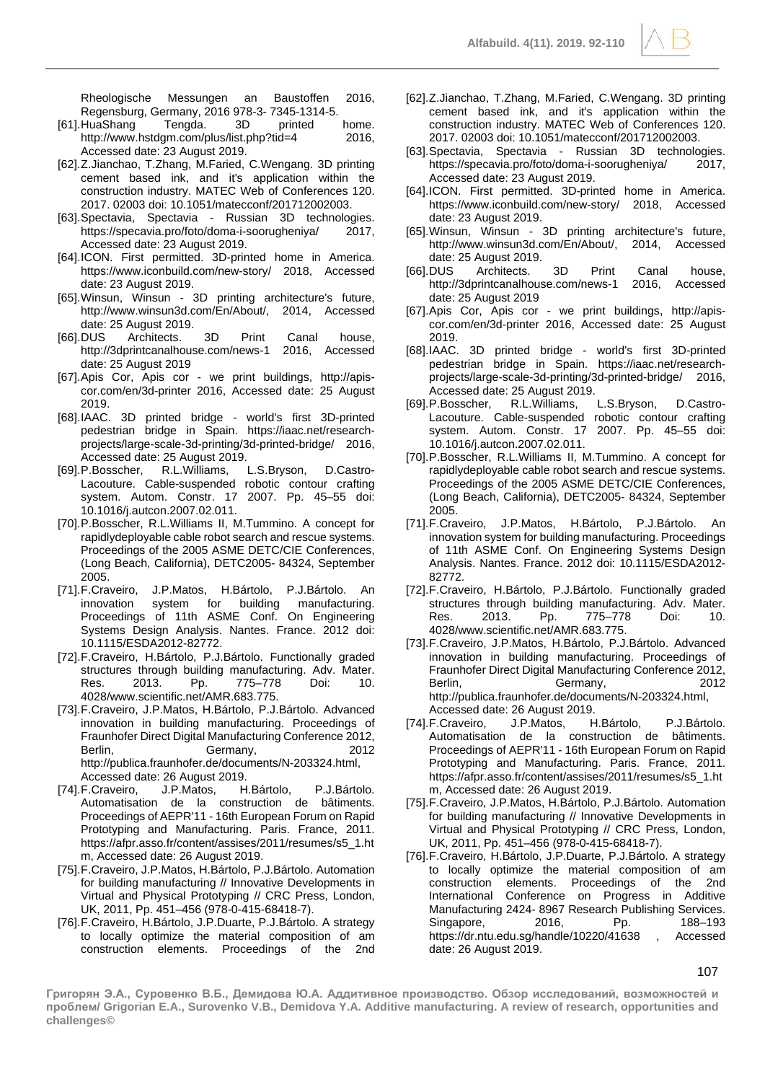Rheologische Messungen an Baustoffen 2016, Regensburg, Germany, 2016 978-3- 7345-1314-5.

- [61].HuaShang Tengda. 3D printed home. http://www.hstdgm.com/plus/list.php?tid=4 Accessed date: 23 August 2019.
- [62].Z.Jianchao, T.Zhang, M.Faried, C.Wengang. 3D printing cement based ink, and it's application within the construction industry. MATEC Web of Conferences 120. 2017. 02003 doi: 10.1051/matecconf/201712002003.
- [63].Spectavia, Spectavia Russian 3D technologies. https://specavia.pro/foto/doma-i-soorugheniya/ Accessed date: 23 August 2019.
- [64].ICON. First permitted. 3D-printed home in America. https://www.iconbuild.com/new-story/ 2018, Accessed date: 23 August 2019.
- [65].Winsun, Winsun 3D printing architecture's future, http://www.winsun3d.com/En/About/, 2014, Accessed date: 25 August 2019.
- [66].DUS Architects. 3D Print Canal house, http://3dprintcanalhouse.com/news-1 date: 25 August 2019
- [67].Apis Cor, Apis cor we print buildings, http://apiscor.com/en/3d-printer 2016, Accessed date: 25 August 2019.
- [68].IAAC. 3D printed bridge world's first 3D-printed pedestrian bridge in Spain. https://iaac.net/researchprojects/large-scale-3d-printing/3d-printed-bridge/ 2016, Accessed date: 25 August 2019.
- [69].P.Bosscher, R.L.Williams, L.S.Bryson, D.Castro-Lacouture. Cable-suspended robotic contour crafting system. Autom. Constr. 17 2007. Pp. 45–55 doi: 10.1016/j.autcon.2007.02.011.
- [70].P.Bosscher, R.L.Williams II, M.Tummino. A concept for rapidlydeployable cable robot search and rescue systems. Proceedings of the 2005 ASME DETC/CIE Conferences, (Long Beach, California), DETC2005- 84324, September 2005.
- [71].F.Craveiro, J.P.Matos, H.Bártolo, P.J.Bártolo. An innovation system for building manufacturing. Proceedings of 11th ASME Conf. On Engineering Systems Design Analysis. Nantes. France. 2012 doi: 10.1115/ESDA2012-82772.
- [72].F.Craveiro, H.Bártolo, P.J.Bártolo. Functionally graded structures through building manufacturing. Adv. Mater. Res. 2013. Pp. 775–778 Doi: 10. 4028/www.scientific.net/AMR.683.775.
- [73].F.Craveiro, J.P.Matos, H.Bártolo, P.J.Bártolo. Advanced innovation in building manufacturing. Proceedings of Fraunhofer Direct Digital Manufacturing Conference 2012, Berlin, Germany, 2012 http://publica.fraunhofer.de/documents/N-203324.html, Accessed date: 26 August 2019.
- [74].F.Craveiro, J.P.Matos, H.Bártolo, P.J.Bártolo. Automatisation de la construction de bâtiments. Proceedings of AEPR'11 - 16th European Forum on Rapid Prototyping and Manufacturing. Paris. France, 2011. https://afpr.asso.fr/content/assises/2011/resumes/s5\_1.ht m, Accessed date: 26 August 2019.
- [75].F.Craveiro, J.P.Matos, H.Bártolo, P.J.Bártolo. Automation for building manufacturing // Innovative Developments in Virtual and Physical Prototyping // CRC Press, London, UK, 2011, Pp. 451–456 (978-0-415-68418-7).
- [76].F.Craveiro, H.Bártolo, J.P.Duarte, P.J.Bártolo. A strategy to locally optimize the material composition of am construction elements. Proceedings of the 2nd
- [62].Z.Jianchao, T.Zhang, M.Faried, C.Wengang. 3D printing cement based ink, and it's application within the construction industry. MATEC Web of Conferences 120. 2017. 02003 doi: 10.1051/matecconf/201712002003.
- [63].Spectavia, Spectavia Russian 3D technologies. https://specavia.pro/foto/doma-i-soorugheniya/ 2017, Accessed date: 23 August 2019.
- [64].ICON. First permitted. 3D-printed home in America. https://www.iconbuild.com/new-story/ 2018, Accessed date: 23 August 2019.
- [65].Winsun, Winsun 3D printing architecture's future, http://www.winsun3d.com/En/About/, date: 25 August 2019.
- [66].DUS Architects. 3D Print Canal house, http://3dprintcanalhouse.com/news-1 2016, Accessed date: 25 August 2019
- [67].Apis Cor, Apis cor we print buildings, http://apiscor.com/en/3d-printer 2016, Accessed date: 25 August 2019.
- [68].IAAC. 3D printed bridge world's first 3D-printed pedestrian bridge in Spain. https://iaac.net/researchprojects/large-scale-3d-printing/3d-printed-bridge/ 2016, Accessed date: 25 August 2019.<br>P.Bosscher, R.L.Williams, L.S.Bryson,
- [69].P.Bosscher, R.L.Williams, L.S.Bryson, D.Castro-Lacouture. Cable-suspended robotic contour crafting system. Autom. Constr. 17 2007. Pp. 45–55 doi: 10.1016/j.autcon.2007.02.011.
- [70].P.Bosscher, R.L.Williams II, M.Tummino. A concept for rapidlydeployable cable robot search and rescue systems. Proceedings of the 2005 ASME DETC/CIE Conferences, (Long Beach, California), DETC2005- 84324, September 2005.
- [71].F.Craveiro, J.P.Matos, H.Bártolo, P.J.Bártolo. An innovation system for building manufacturing. Proceedings of 11th ASME Conf. On Engineering Systems Design Analysis. Nantes. France. 2012 doi: 10.1115/ESDA2012- 82772.
- [72].F.Craveiro, H.Bártolo, P.J.Bártolo. Functionally graded structures through building manufacturing. Adv. Mater.<br>Res. 2013. Pp. 775–778 Doi: 10. Res. 2013. Pp. 775–778 Doi: 10. 4028/www.scientific.net/AMR.683.775.
- [73].F.Craveiro, J.P.Matos, H.Bártolo, P.J.Bártolo. Advanced innovation in building manufacturing. Proceedings of Fraunhofer Direct Digital Manufacturing Conference 2012, Berlin, Germany, 2012 http://publica.fraunhofer.de/documents/N-203324.html, Accessed date: 26 August 2019.
- [74].F.Craveiro, J.P.Matos, H.Bártolo, P.J.Bártolo. Automatisation de la construction de bâtiments. Proceedings of AEPR'11 - 16th European Forum on Rapid Prototyping and Manufacturing. Paris. France, 2011. https://afpr.asso.fr/content/assises/2011/resumes/s5\_1.ht m, Accessed date: 26 August 2019.
- [75].F.Craveiro, J.P.Matos, H.Bártolo, P.J.Bártolo. Automation for building manufacturing // Innovative Developments in Virtual and Physical Prototyping // CRC Press, London, UK, 2011, Pp. 451–456 (978-0-415-68418-7).
- [76].F.Craveiro, H.Bártolo, J.P.Duarte, P.J.Bártolo. A strategy to locally optimize the material composition of am construction elements. Proceedings of the 2nd International Conference on Progress in Additive Manufacturing 2424- 8967 Research Publishing Services. Singapore, 2016, Pp. 188–193 https://dr.ntu.edu.sg/handle/10220/41638 , Accessed date: 26 August 2019.

107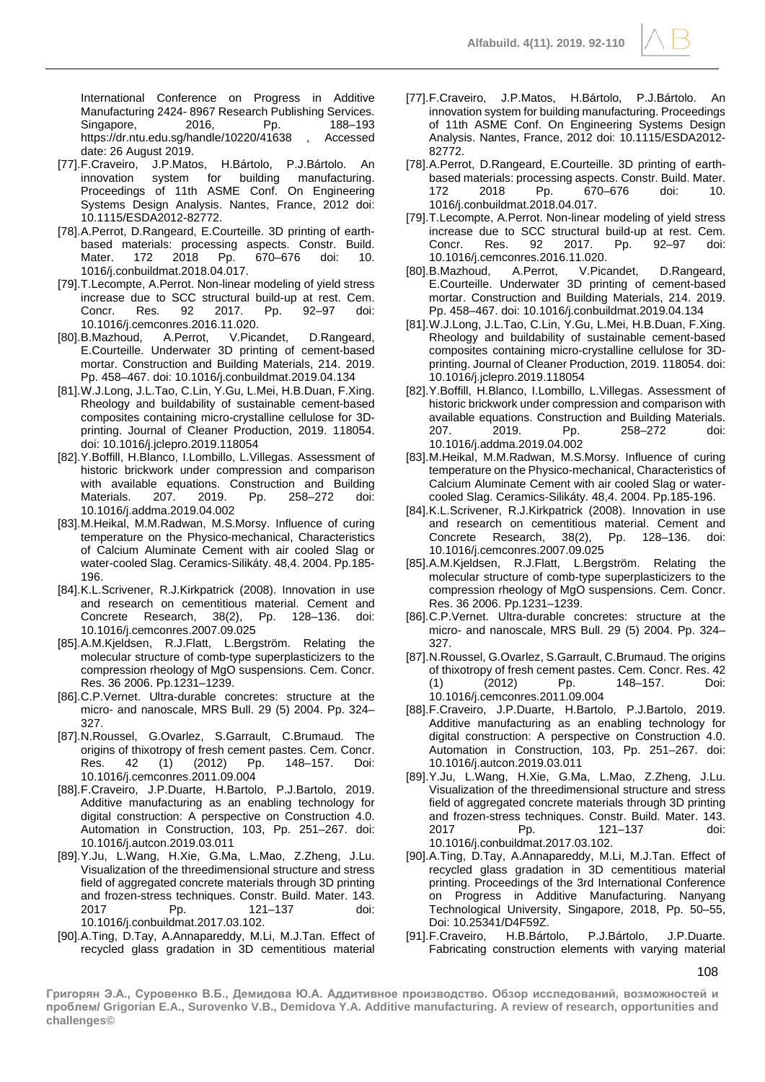International Conference on Progress in Additive Manufacturing 2424- 8967 Research Publishing Services. Singapore, 2016, Pp. 188–193<br>https://dr.ntu.edu.sq/handle/10220/41638 Accessed https://dr.ntu.edu.sg/handle/10220/41638 date: 26 August 2019.

- [77].F.Craveiro, J.P.Matos, H.Bártolo, P.J.Bártolo. An innovation system for building manufacturing. Proceedings of 11th ASME Conf. On Engineering Systems Design Analysis. Nantes, France, 2012 doi: 10.1115/ESDA2012-82772.
- [78].A.Perrot, D.Rangeard, E.Courteille. 3D printing of earthbased materials: processing aspects. Constr. Build. Mater. 172 2018 Pp. 670–676 doi: 10. 1016/j.conbuildmat.2018.04.017.
- [79].T.Lecompte, A.Perrot. Non-linear modeling of yield stress increase due to SCC structural build-up at rest. Cem. Concr. Res. 92 2017. Pp. 92–97 doi: 10.1016/j.cemconres.2016.11.020.
- [80].B.Mazhoud, A.Perrot, V.Picandet, D.Rangeard, E.Courteille. Underwater 3D printing of cement-based mortar. Construction and Building Materials, 214. 2019. Pp. 458–467. doi: 10.1016/j.conbuildmat.2019.04.134
- [81].W.J.Long, J.L.Tao, C.Lin, Y.Gu, L.Mei, H.B.Duan, F.Xing. Rheology and buildability of sustainable cement-based composites containing micro-crystalline cellulose for 3Dprinting. Journal of Cleaner Production, 2019. 118054. doi: 10.1016/j.jclepro.2019.118054
- [82].Y.Boffill, H.Blanco, I.Lombillo, L.Villegas. Assessment of historic brickwork under compression and comparison with available equations. Construction and Building<br>Materials. 207. 2019. Pp. 258–272 doi: Materials. 207. 2019. Pp. 258–272 doi: 10.1016/j.addma.2019.04.002
- [83].M.Heikal, M.M.Radwan, M.S.Morsy. Influence of curing temperature on the Physico-mechanical, Characteristics of Calcium Aluminate Cement with air cooled Slag or water-cooled Slag. Ceramics-Silikáty. 48,4. 2004. Pp.185- 196.
- [84].K.L.Scrivener, R.J.Kirkpatrick (2008). Innovation in use and research on cementitious material. Cement and Concrete Research, 38(2), Pp. 128–136. doi: 10.1016/j.cemconres.2007.09.025
- [85].A.M.Kjeldsen, R.J.Flatt, L.Bergström. Relating the molecular structure of comb-type superplasticizers to the compression rheology of MgO suspensions. Cem. Concr. Res. 36 2006. Pp.1231–1239.
- [86].C.P.Vernet. Ultra-durable concretes: structure at the micro- and nanoscale, MRS Bull. 29 (5) 2004. Pp. 324– 327.
- [87].N.Roussel, G.Ovarlez, S.Garrault, C.Brumaud. The origins of thixotropy of fresh cement pastes. Cem. Concr. Res. 42 (1) (2012) Pp. 148–157. Doi: 10.1016/j.cemconres.2011.09.004
- [88].F.Craveiro, J.P.Duarte, H.Bartolo, P.J.Bartolo, 2019. Additive manufacturing as an enabling technology for digital construction: A perspective on Construction 4.0. Automation in Construction, 103, Pp. 251–267. doi: 10.1016/j.autcon.2019.03.011
- [89].Y.Ju, L.Wang, H.Xie, G.Ma, L.Mao, Z.Zheng, J.Lu. Visualization of the threedimensional structure and stress field of aggregated concrete materials through 3D printing and frozen-stress techniques. Constr. Build. Mater. 143. 121–137 doi: 10.1016/j.conbuildmat.2017.03.102.
- [90].A.Ting, D.Tay, A.Annapareddy, M.Li, M.J.Tan. Effect of recycled glass gradation in 3D cementitious material
- [77].F.Craveiro, J.P.Matos, H.Bártolo, P.J.Bártolo. An innovation system for building manufacturing. Proceedings of 11th ASME Conf. On Engineering Systems Design Analysis. Nantes, France, 2012 doi: 10.1115/ESDA2012- 82772.
- [78].A.Perrot, D.Rangeard, E.Courteille. 3D printing of earthbased materials: processing aspects. Constr. Build. Mater. 172 2018 Pp. 670–676 doi: 10. 1016/j.conbuildmat.2018.04.017.
- [79].T.Lecompte, A.Perrot. Non-linear modeling of yield stress increase due to SCC structural build-up at rest. Cem.<br>Concr. Res. 92 2017. Pp. 92-97 doi: Concr. Res. 92 2017. Pp. 92–97 doi: 10.1016/j.cemconres.2016.11.020.
- [80].B.Mazhoud, A.Perrot, V.Picandet, D.Rangeard, E.Courteille. Underwater 3D printing of cement-based mortar. Construction and Building Materials, 214. 2019. Pp. 458–467. doi: 10.1016/j.conbuildmat.2019.04.134
- [81].W.J.Long, J.L.Tao, C.Lin, Y.Gu, L.Mei, H.B.Duan, F.Xing. Rheology and buildability of sustainable cement-based composites containing micro-crystalline cellulose for 3Dprinting. Journal of Cleaner Production, 2019. 118054. doi: 10.1016/j.jclepro.2019.118054
- [82].Y.Boffill, H.Blanco, I.Lombillo, L.Villegas. Assessment of historic brickwork under compression and comparison with available equations. Construction and Building Materials. 207. 2019. Pp. 258–272 doi: 10.1016/j.addma.2019.04.002
- [83].M.Heikal, M.M.Radwan, M.S.Morsy. Influence of curing temperature on the Physico-mechanical, Characteristics of Calcium Aluminate Cement with air cooled Slag or watercooled Slag. Ceramics-Silikáty. 48,4. 2004. Pp.185-196.
- [84].K.L.Scrivener, R.J.Kirkpatrick (2008). Innovation in use and research on cementitious material. Cement and Concrete Research, 38(2), Pp. 128–136. doi: 10.1016/j.cemconres.2007.09.025
- [85].A.M.Kjeldsen, R.J.Flatt, L.Bergström. Relating the molecular structure of comb-type superplasticizers to the compression rheology of MgO suspensions. Cem. Concr. Res. 36 2006. Pp.1231–1239.
- [86].C.P.Vernet. Ultra-durable concretes: structure at the micro- and nanoscale, MRS Bull. 29 (5) 2004. Pp. 324– 327.
- [87].N.Roussel, G.Ovarlez, S.Garrault, C.Brumaud. The origins of thixotropy of fresh cement pastes. Cem. Concr. Res. 42 (1) (2012) Pp. 148–157. Doi: 10.1016/j.cemconres.2011.09.004
- [88].F.Craveiro, J.P.Duarte, H.Bartolo, P.J.Bartolo, 2019. Additive manufacturing as an enabling technology for digital construction: A perspective on Construction 4.0. Automation in Construction, 103, Pp. 251–267. doi: 10.1016/j.autcon.2019.03.011
- [89].Y.Ju, L.Wang, H.Xie, G.Ma, L.Mao, Z.Zheng, J.Lu. Visualization of the threedimensional structure and stress field of aggregated concrete materials through 3D printing and frozen-stress techniques. Constr. Build. Mater. 143. 2017 Pp. 121–137 doi: 10.1016/j.conbuildmat.2017.03.102.
- [90].A.Ting, D.Tay, A.Annapareddy, M.Li, M.J.Tan. Effect of recycled glass gradation in 3D cementitious material printing. Proceedings of the 3rd International Conference on Progress in Additive Manufacturing. Nanyang Technological University, Singapore, 2018, Pp. 50–55, Doi: 10.25341/D4F59Z.
- [91].F.Craveiro, H.B.Bártolo, P.J.Bártolo, J.P.Duarte. Fabricating construction elements with varying material

108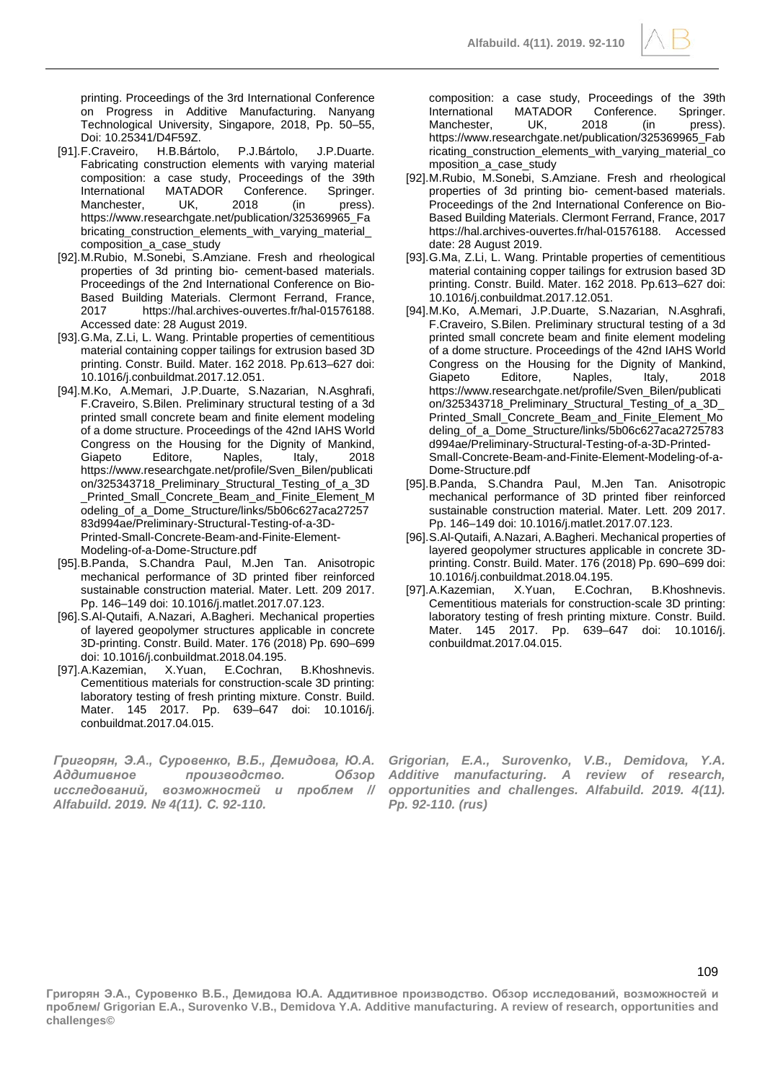

- [91].F.Craveiro, H.B.Bártolo, P.J.Bártolo, J.P.Duarte. Fabricating construction elements with varying material composition: a case study, Proceedings of the 39th International MATADOR Conference. Springer.<br>Manchester. UK. 2018 (in press). Manchester, UK, 2018 (in press). https://www.researchgate.net/publication/325369965\_Fa bricating\_construction\_elements\_with\_varying\_material\_ composition\_a\_case\_study
- [92].M.Rubio, M.Sonebi, S.Amziane. Fresh and rheological properties of 3d printing bio- cement-based materials. Proceedings of the 2nd International Conference on Bio-Based Building Materials. Clermont Ferrand, France, 2017 https://hal.archives-ouvertes.fr/hal-01576188. Accessed date: 28 August 2019.
- [93].G.Ma, Z.Li, L. Wang. Printable properties of cementitious material containing copper tailings for extrusion based 3D printing. Constr. Build. Mater. 162 2018. Pp.613–627 doi: 10.1016/j.conbuildmat.2017.12.051.
- [94].M.Ko, A.Memari, J.P.Duarte, S.Nazarian, N.Asghrafi, F.Craveiro, S.Bilen. Preliminary structural testing of a 3d printed small concrete beam and finite element modeling of a dome structure. Proceedings of the 42nd IAHS World Congress on the Housing for the Dignity of Mankind, Giapeto Editore, Naples, Italy, 2018 https://www.researchgate.net/profile/Sven\_Bilen/publicati on/325343718\_Preliminary\_Structural\_Testing\_of\_a\_3D \_Printed\_Small\_Concrete\_Beam\_and\_Finite\_Element\_M odeling\_of\_a\_Dome\_Structure/links/5b06c627aca27257 83d994ae/Preliminary-Structural-Testing-of-a-3D-Printed-Small-Concrete-Beam-and-Finite-Element-Modeling-of-a-Dome-Structure.pdf
- [95].B.Panda, S.Chandra Paul, M.Jen Tan. Anisotropic mechanical performance of 3D printed fiber reinforced sustainable construction material. Mater. Lett. 209 2017. Pp. 146–149 doi: 10.1016/j.matlet.2017.07.123.
- [96].S.Al-Qutaifi, A.Nazari, A.Bagheri. Mechanical properties of layered geopolymer structures applicable in concrete 3D-printing. Constr. Build. Mater. 176 (2018) Pp. 690–699 doi: 10.1016/j.conbuildmat.2018.04.195.
- [97].A.Kazemian, X.Yuan, E.Cochran, B.Khoshnevis. Cementitious materials for construction-scale 3D printing: laboratory testing of fresh printing mixture. Constr. Build. Mater. 145 2017. Pp. 639–647 doi: 10.1016/j. conbuildmat.2017.04.015.

*Григорян, Э.А., Суровенко, В.Б., Демидова, Ю.А. Аддитивное производство. Обзор исследований, возможностей и проблем // Alfabuild. 2019. № 4(11). С. 92-110.*

composition: a case study, Proceedings of the 39th International MATADOR Conference. Springer. Manchester, UK, 2018 (in press). https://www.researchgate.net/publication/325369965\_Fab ricating construction elements with varying material co mposition\_a\_case\_study

- [92].M.Rubio, M.Sonebi, S.Amziane. Fresh and rheological properties of 3d printing bio- cement-based materials. Proceedings of the 2nd International Conference on Bio-Based Building Materials. Clermont Ferrand, France, 2017 https://hal.archives-ouvertes.fr/hal-01576188. Accessed date: 28 August 2019.
- [93].G.Ma, Z.Li, L. Wang. Printable properties of cementitious material containing copper tailings for extrusion based 3D printing. Constr. Build. Mater. 162 2018. Pp.613–627 doi: 10.1016/j.conbuildmat.2017.12.051.
- [94].M.Ko, A.Memari, J.P.Duarte, S.Nazarian, N.Asghrafi, F.Craveiro, S.Bilen. Preliminary structural testing of a 3d printed small concrete beam and finite element modeling of a dome structure. Proceedings of the 42nd IAHS World Congress on the Housing for the Dignity of Mankind, Giapeto Editore, Naples, Italy, 2018 https://www.researchgate.net/profile/Sven\_Bilen/publicati on/325343718\_Preliminary\_Structural\_Testing\_of\_a\_3D\_ Printed\_Small\_Concrete\_Beam\_and\_Finite\_Element\_Mo deling\_of\_a\_Dome\_Structure/links/5b06c627aca2725783 d994ae/Preliminary-Structural-Testing-of-a-3D-Printed-Small-Concrete-Beam-and-Finite-Element-Modeling-of-a-Dome-Structure.pdf
- [95].B.Panda, S.Chandra Paul, M.Jen Tan. Anisotropic mechanical performance of 3D printed fiber reinforced sustainable construction material. Mater. Lett. 209 2017. Pp. 146–149 doi: 10.1016/j.matlet.2017.07.123.
- [96].S.Al-Qutaifi, A.Nazari, A.Bagheri. Mechanical properties of layered geopolymer structures applicable in concrete 3Dprinting. Constr. Build. Mater. 176 (2018) Pp. 690–699 doi: 10.1016/j.conbuildmat.2018.04.195.
- [97].A.Kazemian, X.Yuan, E.Cochran, B.Khoshnevis. Cementitious materials for construction-scale 3D printing: laboratory testing of fresh printing mixture. Constr. Build. Mater. 145 2017. Pp. 639–647 doi: 10.1016/j. conbuildmat.2017.04.015.

*Grigorian, E.A., Surovenko, V.B., Demidova, Y.A. Additive manufacturing. A review of research, opportunities and challenges. Alfabuild. 2019. 4(11). Pp. 92-110. (rus)*